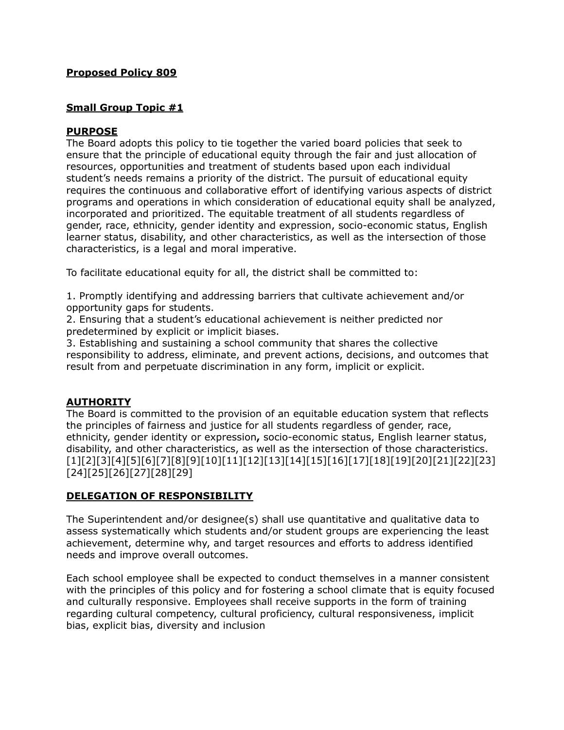### **Proposed Policy 809**

# **Small Group Topic #1**

# **PURPOSE**

The Board adopts this policy to tie together the varied board policies that seek to ensure that the principle of educational equity through the fair and just allocation of resources, opportunities and treatment of students based upon each individual student's needs remains a priority of the district. The pursuit of educational equity requires the continuous and collaborative effort of identifying various aspects of district programs and operations in which consideration of educational equity shall be analyzed, incorporated and prioritized. The equitable treatment of all students regardless of gender, race, ethnicity, gender identity and expression, socio-economic status, English learner status, disability, and other characteristics, as well as the intersection of those characteristics, is a legal and moral imperative.

To facilitate educational equity for all, the district shall be committed to:

1. Promptly identifying and addressing barriers that cultivate achievement and/or opportunity gaps for students.

2. Ensuring that a student's educational achievement is neither predicted nor predetermined by explicit or implicit biases.

3. Establishing and sustaining a school community that shares the collective responsibility to address, eliminate, and prevent actions, decisions, and outcomes that result from and perpetuate discrimination in any form, implicit or explicit.

### **AUTHORITY**

The Board is committed to the provision of an equitable education system that reflects the principles of fairness and justice for all students regardless of gender, race, ethnicity, gender identity or expression**,** socio-economic status, English learner status, disability, and other characteristics, as well as the intersection of those characteristics. [1][2][3][4][5][6][7][8][9][10][11][12][13][14][15][16][17][18][19][20][21][22][23] [24][25][26][27][28][29]

# **DELEGATION OF RESPONSIBILITY**

The Superintendent and/or designee(s) shall use quantitative and qualitative data to assess systematically which students and/or student groups are experiencing the least achievement, determine why, and target resources and efforts to address identified needs and improve overall outcomes.

Each school employee shall be expected to conduct themselves in a manner consistent with the principles of this policy and for fostering a school climate that is equity focused and culturally responsive. Employees shall receive supports in the form of training regarding cultural competency, cultural proficiency, cultural responsiveness, implicit bias, explicit bias, diversity and inclusion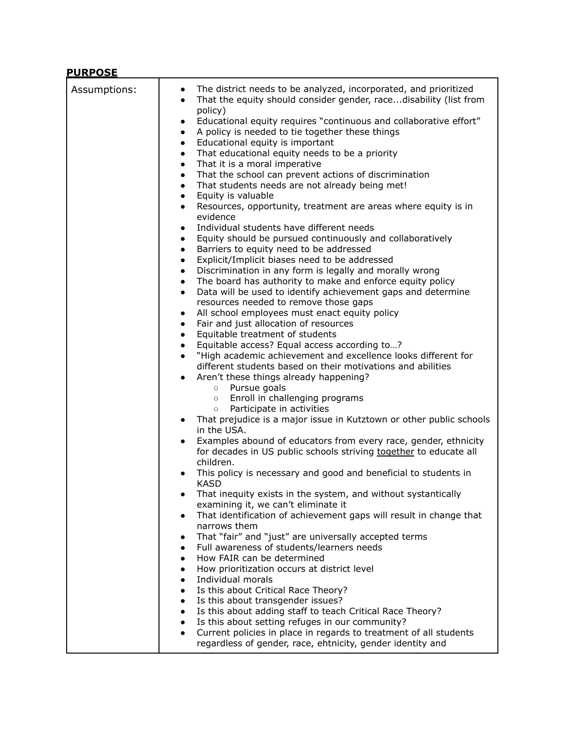| <b>PURPOSE</b><br>Assumptions: | The district needs to be analyzed, incorporated, and prioritized<br>$\bullet$<br>That the equity should consider gender, racedisability (list from<br>$\bullet$<br>policy)<br>Educational equity requires "continuous and collaborative effort"<br>$\bullet$<br>A policy is needed to tie together these things<br>$\bullet$<br>Educational equity is important<br>$\bullet$<br>That educational equity needs to be a priority<br>$\bullet$<br>That it is a moral imperative<br>$\bullet$<br>That the school can prevent actions of discrimination<br>$\bullet$<br>That students needs are not already being met!<br>$\bullet$<br>Equity is valuable<br>$\bullet$<br>Resources, opportunity, treatment are areas where equity is in<br>$\bullet$<br>evidence<br>Individual students have different needs<br>$\bullet$<br>Equity should be pursued continuously and collaboratively<br>$\bullet$<br>Barriers to equity need to be addressed<br>$\bullet$<br>Explicit/Implicit biases need to be addressed<br>$\bullet$<br>Discrimination in any form is legally and morally wrong<br>$\bullet$<br>The board has authority to make and enforce equity policy<br>$\bullet$<br>Data will be used to identify achievement gaps and determine<br>$\bullet$<br>resources needed to remove those gaps<br>All school employees must enact equity policy<br>$\bullet$<br>Fair and just allocation of resources<br>$\bullet$<br>Equitable treatment of students<br>$\bullet$<br>Equitable access? Equal access according to?<br>$\bullet$<br>"High academic achievement and excellence looks different for<br>$\bullet$<br>different students based on their motivations and abilities<br>Aren't these things already happening?<br>$\bullet$<br>Pursue goals<br>$\circ$<br>Enroll in challenging programs<br>$\circ$<br>Participate in activities<br>$\circ$<br>That prejudice is a major issue in Kutztown or other public schools<br>$\bullet$<br>in the USA.<br>Examples abound of educators from every race, gender, ethnicity<br>$\bullet$<br>for decades in US public schools striving together to educate all<br>children.<br>This policy is necessary and good and beneficial to students in<br>$\bullet$<br><b>KASD</b><br>That inequity exists in the system, and without systantically<br>examining it, we can't eliminate it<br>That identification of achievement gaps will result in change that<br>$\bullet$<br>narrows them<br>That "fair" and "just" are universally accepted terms<br>Full awareness of students/learners needs<br>$\bullet$<br>How FAIR can be determined<br>$\bullet$<br>How prioritization occurs at district level<br>$\bullet$<br>Individual morals<br>$\bullet$<br>Is this about Critical Race Theory?<br>$\bullet$<br>Is this about transgender issues?<br>$\bullet$<br>Is this about adding staff to teach Critical Race Theory?<br>$\bullet$ |
|--------------------------------|-------------------------------------------------------------------------------------------------------------------------------------------------------------------------------------------------------------------------------------------------------------------------------------------------------------------------------------------------------------------------------------------------------------------------------------------------------------------------------------------------------------------------------------------------------------------------------------------------------------------------------------------------------------------------------------------------------------------------------------------------------------------------------------------------------------------------------------------------------------------------------------------------------------------------------------------------------------------------------------------------------------------------------------------------------------------------------------------------------------------------------------------------------------------------------------------------------------------------------------------------------------------------------------------------------------------------------------------------------------------------------------------------------------------------------------------------------------------------------------------------------------------------------------------------------------------------------------------------------------------------------------------------------------------------------------------------------------------------------------------------------------------------------------------------------------------------------------------------------------------------------------------------------------------------------------------------------------------------------------------------------------------------------------------------------------------------------------------------------------------------------------------------------------------------------------------------------------------------------------------------------------------------------------------------------------------------------------------------------------------------------------------------------------------------------------------------------------------------------------------------------------------------------------------------------------------------------------------------------------------------------------------------------------------------------------------------------------------------------------------------------------------------------------------------------------------------------------------------------------------------------|
|                                | Is this about setting refuges in our community?<br>$\bullet$<br>Current policies in place in regards to treatment of all students<br>$\bullet$                                                                                                                                                                                                                                                                                                                                                                                                                                                                                                                                                                                                                                                                                                                                                                                                                                                                                                                                                                                                                                                                                                                                                                                                                                                                                                                                                                                                                                                                                                                                                                                                                                                                                                                                                                                                                                                                                                                                                                                                                                                                                                                                                                                                                                                                                                                                                                                                                                                                                                                                                                                                                                                                                                                                |
|                                | regardless of gender, race, ehtnicity, gender identity and                                                                                                                                                                                                                                                                                                                                                                                                                                                                                                                                                                                                                                                                                                                                                                                                                                                                                                                                                                                                                                                                                                                                                                                                                                                                                                                                                                                                                                                                                                                                                                                                                                                                                                                                                                                                                                                                                                                                                                                                                                                                                                                                                                                                                                                                                                                                                                                                                                                                                                                                                                                                                                                                                                                                                                                                                    |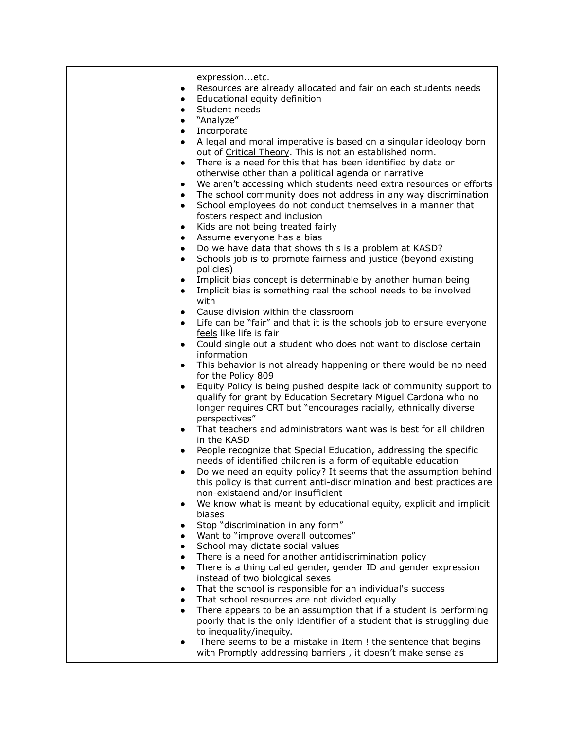| expressionetc.                                                                                                                                     |
|----------------------------------------------------------------------------------------------------------------------------------------------------|
| Resources are already allocated and fair on each students needs                                                                                    |
| Educational equity definition<br>$\bullet$                                                                                                         |
| Student needs<br>$\bullet$<br>"Analyze"                                                                                                            |
| $\bullet$<br>Incorporate<br>$\bullet$                                                                                                              |
| A legal and moral imperative is based on a singular ideology born                                                                                  |
| out of Critical Theory. This is not an established norm.                                                                                           |
| There is a need for this that has been identified by data or<br>$\bullet$                                                                          |
| otherwise other than a political agenda or narrative<br>We aren't accessing which students need extra resources or efforts                         |
| $\bullet$<br>The school community does not address in any way discrimination<br>$\bullet$                                                          |
| School employees do not conduct themselves in a manner that                                                                                        |
| fosters respect and inclusion                                                                                                                      |
| Kids are not being treated fairly<br>$\bullet$                                                                                                     |
| Assume everyone has a bias<br>$\bullet$                                                                                                            |
| Do we have data that shows this is a problem at KASD?<br>$\bullet$<br>Schools job is to promote fairness and justice (beyond existing<br>$\bullet$ |
| policies)                                                                                                                                          |
| Implicit bias concept is determinable by another human being<br>$\bullet$                                                                          |
| Implicit bias is something real the school needs to be involved                                                                                    |
| with                                                                                                                                               |
| Cause division within the classroom<br>$\bullet$<br>Life can be "fair" and that it is the schools job to ensure everyone<br>$\bullet$              |
| feels like life is fair                                                                                                                            |
| Could single out a student who does not want to disclose certain<br>$\bullet$                                                                      |
| information                                                                                                                                        |
| This behavior is not already happening or there would be no need                                                                                   |
| for the Policy 809<br>Equity Policy is being pushed despite lack of community support to                                                           |
| qualify for grant by Education Secretary Miguel Cardona who no                                                                                     |
| longer requires CRT but "encourages racially, ethnically diverse                                                                                   |
| perspectives"                                                                                                                                      |
| That teachers and administrators want was is best for all children<br>$\bullet$<br>in the KASD                                                     |
| People recognize that Special Education, addressing the specific<br>$\bullet$                                                                      |
| needs of identified children is a form of equitable education                                                                                      |
| Do we need an equity policy? It seems that the assumption behind<br>$\bullet$                                                                      |
| this policy is that current anti-discrimination and best practices are                                                                             |
| non-existaend and/or insufficient<br>We know what is meant by educational equity, explicit and implicit                                            |
| biases                                                                                                                                             |
| Stop "discrimination in any form"                                                                                                                  |
| Want to "improve overall outcomes"                                                                                                                 |
| School may dictate social values                                                                                                                   |
| There is a need for another antidiscrimination policy<br>There is a thing called gender, gender ID and gender expression<br>$\bullet$              |
| instead of two biological sexes                                                                                                                    |
| That the school is responsible for an individual's success                                                                                         |
| That school resources are not divided equally                                                                                                      |
| There appears to be an assumption that if a student is performing                                                                                  |
| poorly that is the only identifier of a student that is struggling due<br>to inequality/inequity.                                                  |
| There seems to be a mistake in Item ! the sentence that begins                                                                                     |
| with Promptly addressing barriers, it doesn't make sense as                                                                                        |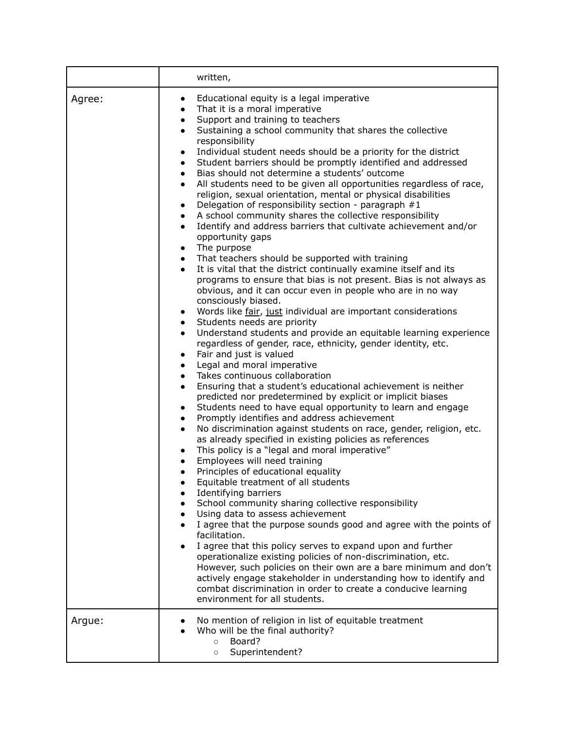|        | written,                                                                                                                                                                                                                                                                                                                                                                                                                                                                                                                                                                                                                                                                                                                                                                                                                                                                                                                                                                                                                                                                                                                                                                                                                                                                                                                                                                                                                                                                                                                                                                                                                                                                                                                                                                                                                                                                                                                                                                                                                                                                                                                                                                                                                                                                                                                                                                                                                                                                                                                                                                                                                                                                                                                                                                                                                                                                         |
|--------|----------------------------------------------------------------------------------------------------------------------------------------------------------------------------------------------------------------------------------------------------------------------------------------------------------------------------------------------------------------------------------------------------------------------------------------------------------------------------------------------------------------------------------------------------------------------------------------------------------------------------------------------------------------------------------------------------------------------------------------------------------------------------------------------------------------------------------------------------------------------------------------------------------------------------------------------------------------------------------------------------------------------------------------------------------------------------------------------------------------------------------------------------------------------------------------------------------------------------------------------------------------------------------------------------------------------------------------------------------------------------------------------------------------------------------------------------------------------------------------------------------------------------------------------------------------------------------------------------------------------------------------------------------------------------------------------------------------------------------------------------------------------------------------------------------------------------------------------------------------------------------------------------------------------------------------------------------------------------------------------------------------------------------------------------------------------------------------------------------------------------------------------------------------------------------------------------------------------------------------------------------------------------------------------------------------------------------------------------------------------------------------------------------------------------------------------------------------------------------------------------------------------------------------------------------------------------------------------------------------------------------------------------------------------------------------------------------------------------------------------------------------------------------------------------------------------------------------------------------------------------------|
| Agree: | Educational equity is a legal imperative<br>$\bullet$<br>That it is a moral imperative<br>$\bullet$<br>Support and training to teachers<br>$\bullet$<br>Sustaining a school community that shares the collective<br>$\bullet$<br>responsibility<br>Individual student needs should be a priority for the district<br>$\bullet$<br>Student barriers should be promptly identified and addressed<br>٠<br>Bias should not determine a students' outcome<br>$\bullet$<br>All students need to be given all opportunities regardless of race,<br>$\bullet$<br>religion, sexual orientation, mental or physical disabilities<br>Delegation of responsibility section - paragraph #1<br>$\bullet$<br>A school community shares the collective responsibility<br>$\bullet$<br>Identify and address barriers that cultivate achievement and/or<br>$\bullet$<br>opportunity gaps<br>The purpose<br>$\bullet$<br>That teachers should be supported with training<br>$\bullet$<br>It is vital that the district continually examine itself and its<br>$\bullet$<br>programs to ensure that bias is not present. Bias is not always as<br>obvious, and it can occur even in people who are in no way<br>consciously biased.<br>Words like fair, just individual are important considerations<br>٠<br>Students needs are priority<br>$\bullet$<br>Understand students and provide an equitable learning experience<br>$\bullet$<br>regardless of gender, race, ethnicity, gender identity, etc.<br>Fair and just is valued<br>$\bullet$<br>Legal and moral imperative<br>$\bullet$<br>Takes continuous collaboration<br>$\bullet$<br>Ensuring that a student's educational achievement is neither<br>$\bullet$<br>predicted nor predetermined by explicit or implicit biases<br>Students need to have equal opportunity to learn and engage<br>$\bullet$<br>Promptly identifies and address achievement<br>$\bullet$<br>No discrimination against students on race, gender, religion, etc.<br>$\bullet$<br>as already specified in existing policies as references<br>This policy is a "legal and moral imperative"<br>$\bullet$<br>Employees will need training<br>$\bullet$<br>Principles of educational equality<br>$\bullet$<br>Equitable treatment of all students<br>Identifying barriers<br>School community sharing collective responsibility<br>$\bullet$<br>Using data to assess achievement<br>$\bullet$<br>I agree that the purpose sounds good and agree with the points of<br>$\bullet$<br>facilitation.<br>I agree that this policy serves to expand upon and further<br>operationalize existing policies of non-discrimination, etc.<br>However, such policies on their own are a bare minimum and don't<br>actively engage stakeholder in understanding how to identify and<br>combat discrimination in order to create a conducive learning<br>environment for all students. |
| Argue: | No mention of religion in list of equitable treatment<br>Who will be the final authority?<br>Board?<br>$\circ$<br>Superintendent?<br>$\circ$                                                                                                                                                                                                                                                                                                                                                                                                                                                                                                                                                                                                                                                                                                                                                                                                                                                                                                                                                                                                                                                                                                                                                                                                                                                                                                                                                                                                                                                                                                                                                                                                                                                                                                                                                                                                                                                                                                                                                                                                                                                                                                                                                                                                                                                                                                                                                                                                                                                                                                                                                                                                                                                                                                                                     |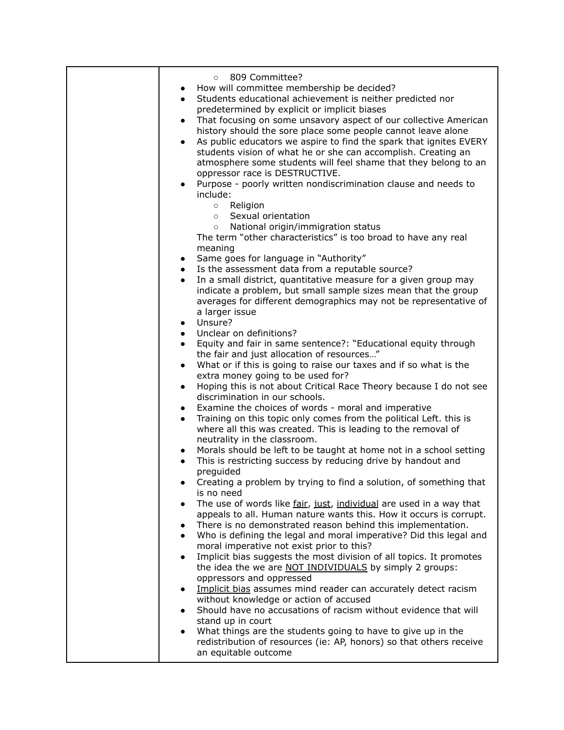| 809 Committee?<br>$\circ$                                                                                                           |
|-------------------------------------------------------------------------------------------------------------------------------------|
| How will committee membership be decided?                                                                                           |
| Students educational achievement is neither predicted nor<br>$\bullet$                                                              |
| predetermined by explicit or implicit biases<br>That focusing on some unsavory aspect of our collective American                    |
| $\bullet$<br>history should the sore place some people cannot leave alone                                                           |
| As public educators we aspire to find the spark that ignites EVERY                                                                  |
| students vision of what he or she can accomplish. Creating an                                                                       |
| atmosphere some students will feel shame that they belong to an                                                                     |
| oppressor race is DESTRUCTIVE.                                                                                                      |
| Purpose - poorly written nondiscrimination clause and needs to                                                                      |
| include:                                                                                                                            |
| Religion<br>$\circ$                                                                                                                 |
| Sexual orientation<br>$\circ$                                                                                                       |
| National origin/immigration status<br>$\circ$<br>The term "other characteristics" is too broad to have any real                     |
| meaning                                                                                                                             |
| Same goes for language in "Authority"                                                                                               |
| Is the assessment data from a reputable source?                                                                                     |
| In a small district, quantitative measure for a given group may                                                                     |
| indicate a problem, but small sample sizes mean that the group                                                                      |
| averages for different demographics may not be representative of                                                                    |
| a larger issue                                                                                                                      |
| • Unsure?<br>Unclear on definitions?                                                                                                |
| $\bullet$<br>Equity and fair in same sentence?: "Educational equity through<br>$\bullet$                                            |
| the fair and just allocation of resources"                                                                                          |
| What or if this is going to raise our taxes and if so what is the<br>$\bullet$                                                      |
| extra money going to be used for?                                                                                                   |
| Hoping this is not about Critical Race Theory because I do not see<br>$\bullet$                                                     |
| discrimination in our schools.                                                                                                      |
| Examine the choices of words - moral and imperative<br>$\bullet$                                                                    |
| Training on this topic only comes from the political Left. this is<br>$\bullet$                                                     |
| where all this was created. This is leading to the removal of<br>neutrality in the classroom.                                       |
| Morals should be left to be taught at home not in a school setting                                                                  |
| This is restricting success by reducing drive by handout and                                                                        |
| preguided                                                                                                                           |
| Creating a problem by trying to find a solution, of something that                                                                  |
| is no need                                                                                                                          |
| The use of words like fair, just, individual are used in a way that                                                                 |
| appeals to all. Human nature wants this. How it occurs is corrupt.                                                                  |
| There is no demonstrated reason behind this implementation.<br>Who is defining the legal and moral imperative? Did this legal and   |
| moral imperative not exist prior to this?                                                                                           |
| Implicit bias suggests the most division of all topics. It promotes                                                                 |
| the idea the we are NOT INDIVIDUALS by simply 2 groups:                                                                             |
| oppressors and oppressed                                                                                                            |
| Implicit bias assumes mind reader can accurately detect racism                                                                      |
| without knowledge or action of accused                                                                                              |
| Should have no accusations of racism without evidence that will                                                                     |
| stand up in court                                                                                                                   |
| What things are the students going to have to give up in the<br>redistribution of resources (ie: AP, honors) so that others receive |
| an equitable outcome                                                                                                                |
|                                                                                                                                     |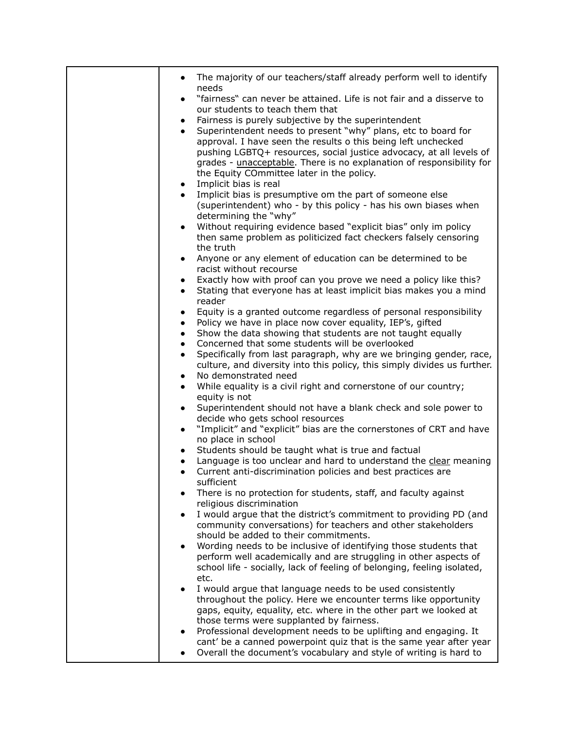| The majority of our teachers/staff already perform well to identify                                                                                                                                                                                                                                                                                                                                                                                                                                                                                                                                                                                                                                                                                                                                                                                                                                                                                      |
|----------------------------------------------------------------------------------------------------------------------------------------------------------------------------------------------------------------------------------------------------------------------------------------------------------------------------------------------------------------------------------------------------------------------------------------------------------------------------------------------------------------------------------------------------------------------------------------------------------------------------------------------------------------------------------------------------------------------------------------------------------------------------------------------------------------------------------------------------------------------------------------------------------------------------------------------------------|
| needs<br>"fairness" can never be attained. Life is not fair and a disserve to                                                                                                                                                                                                                                                                                                                                                                                                                                                                                                                                                                                                                                                                                                                                                                                                                                                                            |
| our students to teach them that                                                                                                                                                                                                                                                                                                                                                                                                                                                                                                                                                                                                                                                                                                                                                                                                                                                                                                                          |
| Fairness is purely subjective by the superintendent<br>$\bullet$                                                                                                                                                                                                                                                                                                                                                                                                                                                                                                                                                                                                                                                                                                                                                                                                                                                                                         |
| Superintendent needs to present "why" plans, etc to board for                                                                                                                                                                                                                                                                                                                                                                                                                                                                                                                                                                                                                                                                                                                                                                                                                                                                                            |
| approval. I have seen the results o this being left unchecked                                                                                                                                                                                                                                                                                                                                                                                                                                                                                                                                                                                                                                                                                                                                                                                                                                                                                            |
| pushing LGBTQ+ resources, social justice advocacy, at all levels of<br>grades - unacceptable. There is no explanation of responsibility for                                                                                                                                                                                                                                                                                                                                                                                                                                                                                                                                                                                                                                                                                                                                                                                                              |
| the Equity COmmittee later in the policy.                                                                                                                                                                                                                                                                                                                                                                                                                                                                                                                                                                                                                                                                                                                                                                                                                                                                                                                |
| Implicit bias is real<br>$\bullet$                                                                                                                                                                                                                                                                                                                                                                                                                                                                                                                                                                                                                                                                                                                                                                                                                                                                                                                       |
| Implicit bias is presumptive om the part of someone else                                                                                                                                                                                                                                                                                                                                                                                                                                                                                                                                                                                                                                                                                                                                                                                                                                                                                                 |
| (superintendent) who - by this policy - has his own biases when                                                                                                                                                                                                                                                                                                                                                                                                                                                                                                                                                                                                                                                                                                                                                                                                                                                                                          |
| determining the "why"<br>Without requiring evidence based "explicit bias" only im policy                                                                                                                                                                                                                                                                                                                                                                                                                                                                                                                                                                                                                                                                                                                                                                                                                                                                 |
| then same problem as politicized fact checkers falsely censoring                                                                                                                                                                                                                                                                                                                                                                                                                                                                                                                                                                                                                                                                                                                                                                                                                                                                                         |
| the truth                                                                                                                                                                                                                                                                                                                                                                                                                                                                                                                                                                                                                                                                                                                                                                                                                                                                                                                                                |
| Anyone or any element of education can be determined to be<br>$\bullet$                                                                                                                                                                                                                                                                                                                                                                                                                                                                                                                                                                                                                                                                                                                                                                                                                                                                                  |
| racist without recourse                                                                                                                                                                                                                                                                                                                                                                                                                                                                                                                                                                                                                                                                                                                                                                                                                                                                                                                                  |
| Exactly how with proof can you prove we need a policy like this?<br>$\bullet$<br>Stating that everyone has at least implicit bias makes you a mind<br>$\bullet$                                                                                                                                                                                                                                                                                                                                                                                                                                                                                                                                                                                                                                                                                                                                                                                          |
| reader                                                                                                                                                                                                                                                                                                                                                                                                                                                                                                                                                                                                                                                                                                                                                                                                                                                                                                                                                   |
| Equity is a granted outcome regardless of personal responsibility<br>$\bullet$                                                                                                                                                                                                                                                                                                                                                                                                                                                                                                                                                                                                                                                                                                                                                                                                                                                                           |
| Policy we have in place now cover equality, IEP's, gifted<br>$\bullet$                                                                                                                                                                                                                                                                                                                                                                                                                                                                                                                                                                                                                                                                                                                                                                                                                                                                                   |
| Show the data showing that students are not taught equally<br>$\bullet$<br>Concerned that some students will be overlooked                                                                                                                                                                                                                                                                                                                                                                                                                                                                                                                                                                                                                                                                                                                                                                                                                               |
| $\bullet$<br>Specifically from last paragraph, why are we bringing gender, race,<br>$\bullet$                                                                                                                                                                                                                                                                                                                                                                                                                                                                                                                                                                                                                                                                                                                                                                                                                                                            |
| culture, and diversity into this policy, this simply divides us further.                                                                                                                                                                                                                                                                                                                                                                                                                                                                                                                                                                                                                                                                                                                                                                                                                                                                                 |
| No demonstrated need<br>$\bullet$                                                                                                                                                                                                                                                                                                                                                                                                                                                                                                                                                                                                                                                                                                                                                                                                                                                                                                                        |
| While equality is a civil right and cornerstone of our country;                                                                                                                                                                                                                                                                                                                                                                                                                                                                                                                                                                                                                                                                                                                                                                                                                                                                                          |
|                                                                                                                                                                                                                                                                                                                                                                                                                                                                                                                                                                                                                                                                                                                                                                                                                                                                                                                                                          |
| decide who gets school resources                                                                                                                                                                                                                                                                                                                                                                                                                                                                                                                                                                                                                                                                                                                                                                                                                                                                                                                         |
| "Implicit" and "explicit" bias are the cornerstones of CRT and have<br>$\bullet$                                                                                                                                                                                                                                                                                                                                                                                                                                                                                                                                                                                                                                                                                                                                                                                                                                                                         |
|                                                                                                                                                                                                                                                                                                                                                                                                                                                                                                                                                                                                                                                                                                                                                                                                                                                                                                                                                          |
|                                                                                                                                                                                                                                                                                                                                                                                                                                                                                                                                                                                                                                                                                                                                                                                                                                                                                                                                                          |
| $\bullet$                                                                                                                                                                                                                                                                                                                                                                                                                                                                                                                                                                                                                                                                                                                                                                                                                                                                                                                                                |
| sufficient                                                                                                                                                                                                                                                                                                                                                                                                                                                                                                                                                                                                                                                                                                                                                                                                                                                                                                                                               |
|                                                                                                                                                                                                                                                                                                                                                                                                                                                                                                                                                                                                                                                                                                                                                                                                                                                                                                                                                          |
|                                                                                                                                                                                                                                                                                                                                                                                                                                                                                                                                                                                                                                                                                                                                                                                                                                                                                                                                                          |
|                                                                                                                                                                                                                                                                                                                                                                                                                                                                                                                                                                                                                                                                                                                                                                                                                                                                                                                                                          |
| should be added to their commitments.                                                                                                                                                                                                                                                                                                                                                                                                                                                                                                                                                                                                                                                                                                                                                                                                                                                                                                                    |
| Wording needs to be inclusive of identifying those students that                                                                                                                                                                                                                                                                                                                                                                                                                                                                                                                                                                                                                                                                                                                                                                                                                                                                                         |
|                                                                                                                                                                                                                                                                                                                                                                                                                                                                                                                                                                                                                                                                                                                                                                                                                                                                                                                                                          |
|                                                                                                                                                                                                                                                                                                                                                                                                                                                                                                                                                                                                                                                                                                                                                                                                                                                                                                                                                          |
|                                                                                                                                                                                                                                                                                                                                                                                                                                                                                                                                                                                                                                                                                                                                                                                                                                                                                                                                                          |
| throughout the policy. Here we encounter terms like opportunity                                                                                                                                                                                                                                                                                                                                                                                                                                                                                                                                                                                                                                                                                                                                                                                                                                                                                          |
| gaps, equity, equality, etc. where in the other part we looked at                                                                                                                                                                                                                                                                                                                                                                                                                                                                                                                                                                                                                                                                                                                                                                                                                                                                                        |
|                                                                                                                                                                                                                                                                                                                                                                                                                                                                                                                                                                                                                                                                                                                                                                                                                                                                                                                                                          |
|                                                                                                                                                                                                                                                                                                                                                                                                                                                                                                                                                                                                                                                                                                                                                                                                                                                                                                                                                          |
| Overall the document's vocabulary and style of writing is hard to                                                                                                                                                                                                                                                                                                                                                                                                                                                                                                                                                                                                                                                                                                                                                                                                                                                                                        |
| equity is not<br>Superintendent should not have a blank check and sole power to<br>$\bullet$<br>no place in school<br>Students should be taught what is true and factual<br>Language is too unclear and hard to understand the clear meaning<br>Current anti-discrimination policies and best practices are<br>There is no protection for students, staff, and faculty against<br>religious discrimination<br>I would argue that the district's commitment to providing PD (and<br>community conversations) for teachers and other stakeholders<br>perform well academically and are struggling in other aspects of<br>school life - socially, lack of feeling of belonging, feeling isolated,<br>etc.<br>I would argue that language needs to be used consistently<br>those terms were supplanted by fairness.<br>Professional development needs to be uplifting and engaging. It<br>cant' be a canned powerpoint quiz that is the same year after year |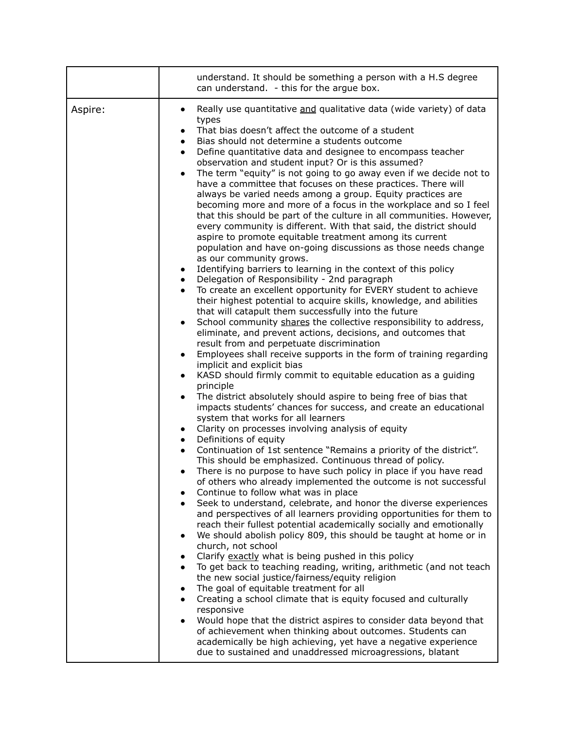|         | understand. It should be something a person with a H.S degree<br>can understand. - this for the argue box.                                                                                                                                                                                                                                                                                                                                                                                                                                                                                                                                                                                                                                                                                                                                                                                                                                                                                                                                                                                                                                                                                                                                                                                                                                                                                                                                                                                                                                                                                                                                                                                                                                                                                                                                                                                                                                                                                                                                                                                                                                                                                                                                                                                                                                                                                                                                                                                                                                                                                                                                                                                                                                                                                                                                                                                                                                                                                                                                                                                                                                                                                                                                                                                    |
|---------|-----------------------------------------------------------------------------------------------------------------------------------------------------------------------------------------------------------------------------------------------------------------------------------------------------------------------------------------------------------------------------------------------------------------------------------------------------------------------------------------------------------------------------------------------------------------------------------------------------------------------------------------------------------------------------------------------------------------------------------------------------------------------------------------------------------------------------------------------------------------------------------------------------------------------------------------------------------------------------------------------------------------------------------------------------------------------------------------------------------------------------------------------------------------------------------------------------------------------------------------------------------------------------------------------------------------------------------------------------------------------------------------------------------------------------------------------------------------------------------------------------------------------------------------------------------------------------------------------------------------------------------------------------------------------------------------------------------------------------------------------------------------------------------------------------------------------------------------------------------------------------------------------------------------------------------------------------------------------------------------------------------------------------------------------------------------------------------------------------------------------------------------------------------------------------------------------------------------------------------------------------------------------------------------------------------------------------------------------------------------------------------------------------------------------------------------------------------------------------------------------------------------------------------------------------------------------------------------------------------------------------------------------------------------------------------------------------------------------------------------------------------------------------------------------------------------------------------------------------------------------------------------------------------------------------------------------------------------------------------------------------------------------------------------------------------------------------------------------------------------------------------------------------------------------------------------------------------------------------------------------------------------------------------------------|
| Aspire: | Really use quantitative and qualitative data (wide variety) of data<br>types<br>That bias doesn't affect the outcome of a student<br>$\bullet$<br>Bias should not determine a students outcome<br>$\bullet$<br>Define quantitative data and designee to encompass teacher<br>$\bullet$<br>observation and student input? Or is this assumed?<br>The term "equity" is not going to go away even if we decide not to<br>$\bullet$<br>have a committee that focuses on these practices. There will<br>always be varied needs among a group. Equity practices are<br>becoming more and more of a focus in the workplace and so I feel<br>that this should be part of the culture in all communities. However,<br>every community is different. With that said, the district should<br>aspire to promote equitable treatment among its current<br>population and have on-going discussions as those needs change<br>as our community grows.<br>Identifying barriers to learning in the context of this policy<br>$\bullet$<br>Delegation of Responsibility - 2nd paragraph<br>$\bullet$<br>To create an excellent opportunity for EVERY student to achieve<br>$\bullet$<br>their highest potential to acquire skills, knowledge, and abilities<br>that will catapult them successfully into the future<br>School community shares the collective responsibility to address,<br>$\bullet$<br>eliminate, and prevent actions, decisions, and outcomes that<br>result from and perpetuate discrimination<br>Employees shall receive supports in the form of training regarding<br>$\bullet$<br>implicit and explicit bias<br>KASD should firmly commit to equitable education as a guiding<br>$\bullet$<br>principle<br>The district absolutely should aspire to being free of bias that<br>impacts students' chances for success, and create an educational<br>system that works for all learners<br>Clarity on processes involving analysis of equity<br>$\bullet$<br>Definitions of equity<br>$\bullet$<br>Continuation of 1st sentence "Remains a priority of the district".<br>$\bullet$<br>This should be emphasized. Continuous thread of policy.<br>There is no purpose to have such policy in place if you have read<br>$\bullet$<br>of others who already implemented the outcome is not successful<br>Continue to follow what was in place<br>Seek to understand, celebrate, and honor the diverse experiences<br>and perspectives of all learners providing opportunities for them to<br>reach their fullest potential academically socially and emotionally<br>We should abolish policy 809, this should be taught at home or in<br>church, not school<br>Clarify exactly what is being pushed in this policy<br>$\bullet$<br>To get back to teaching reading, writing, arithmetic (and not teach<br>$\bullet$<br>the new social justice/fairness/equity religion<br>The goal of equitable treatment for all<br>$\bullet$<br>Creating a school climate that is equity focused and culturally<br>$\bullet$<br>responsive<br>Would hope that the district aspires to consider data beyond that<br>of achievement when thinking about outcomes. Students can<br>academically be high achieving, yet have a negative experience<br>due to sustained and unaddressed microagressions, blatant |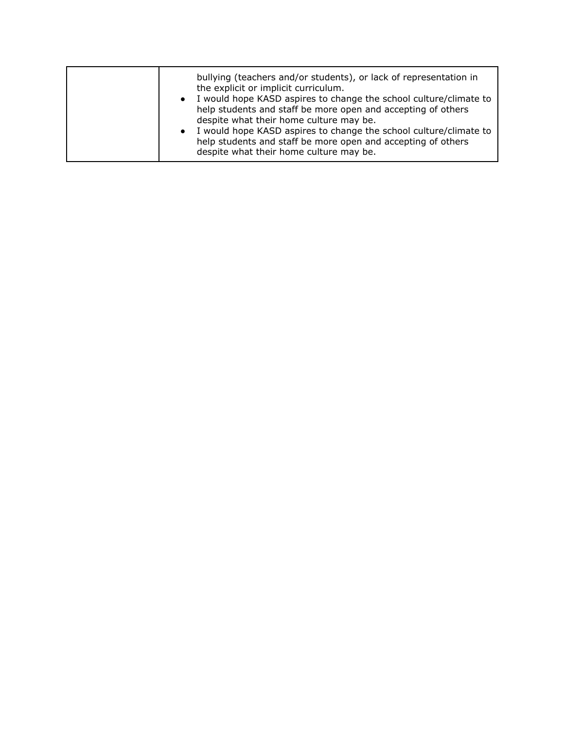| bullying (teachers and/or students), or lack of representation in<br>the explicit or implicit curriculum.<br>• I would hope KASD aspires to change the school culture/climate to<br>help students and staff be more open and accepting of others<br>despite what their home culture may be.<br>I would hope KASD aspires to change the school culture/climate to<br>$\bullet$<br>help students and staff be more open and accepting of others<br>despite what their home culture may be. |
|------------------------------------------------------------------------------------------------------------------------------------------------------------------------------------------------------------------------------------------------------------------------------------------------------------------------------------------------------------------------------------------------------------------------------------------------------------------------------------------|
|------------------------------------------------------------------------------------------------------------------------------------------------------------------------------------------------------------------------------------------------------------------------------------------------------------------------------------------------------------------------------------------------------------------------------------------------------------------------------------------|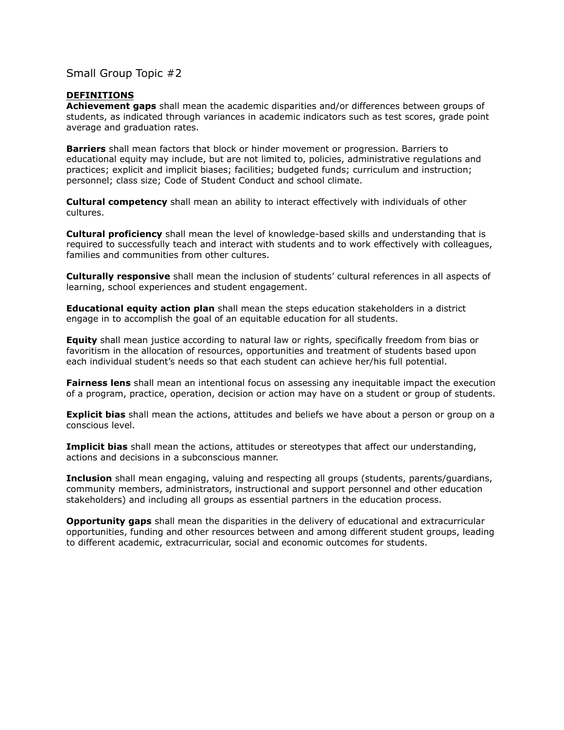#### **DEFINITIONS**

**Achievement gaps** shall mean the academic disparities and/or differences between groups of students, as indicated through variances in academic indicators such as test scores, grade point average and graduation rates.

**Barriers** shall mean factors that block or hinder movement or progression. Barriers to educational equity may include, but are not limited to, policies, administrative regulations and practices; explicit and implicit biases; facilities; budgeted funds; curriculum and instruction; personnel; class size; Code of Student Conduct and school climate.

**Cultural competency** shall mean an ability to interact effectively with individuals of other cultures.

**Cultural proficiency** shall mean the level of knowledge-based skills and understanding that is required to successfully teach and interact with students and to work effectively with colleagues, families and communities from other cultures.

**Culturally responsive** shall mean the inclusion of students' cultural references in all aspects of learning, school experiences and student engagement.

**Educational equity action plan** shall mean the steps education stakeholders in a district engage in to accomplish the goal of an equitable education for all students.

**Equity** shall mean justice according to natural law or rights, specifically freedom from bias or favoritism in the allocation of resources, opportunities and treatment of students based upon each individual student's needs so that each student can achieve her/his full potential.

**Fairness lens** shall mean an intentional focus on assessing any inequitable impact the execution of a program, practice, operation, decision or action may have on a student or group of students.

**Explicit bias** shall mean the actions, attitudes and beliefs we have about a person or group on a conscious level.

**Implicit bias** shall mean the actions, attitudes or stereotypes that affect our understanding, actions and decisions in a subconscious manner.

**Inclusion** shall mean engaging, valuing and respecting all groups (students, parents/guardians, community members, administrators, instructional and support personnel and other education stakeholders) and including all groups as essential partners in the education process.

**Opportunity gaps** shall mean the disparities in the delivery of educational and extracurricular opportunities, funding and other resources between and among different student groups, leading to different academic, extracurricular, social and economic outcomes for students.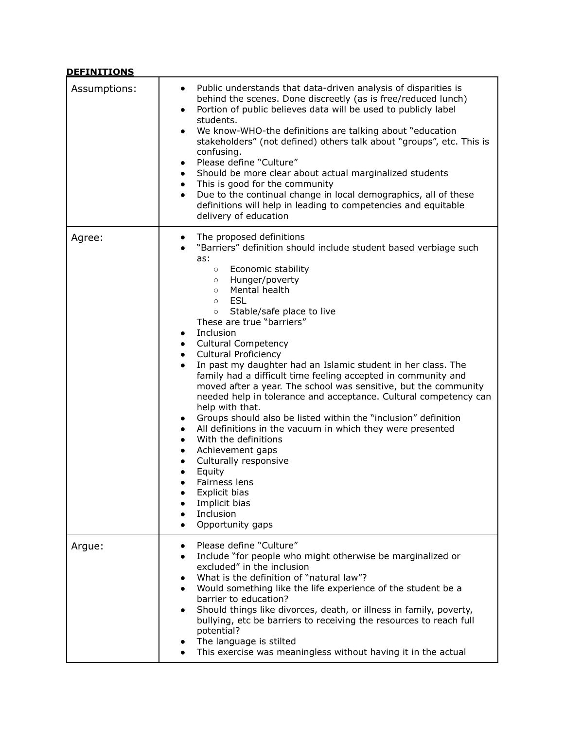| <b>DEFINITIONS</b> |                                                                                                                                                                                                                                                                                                                                                                                                                                                                                                                                                                                                                                                                                                                                                                                                                                                                                                                                                                                                                                                                                                     |
|--------------------|-----------------------------------------------------------------------------------------------------------------------------------------------------------------------------------------------------------------------------------------------------------------------------------------------------------------------------------------------------------------------------------------------------------------------------------------------------------------------------------------------------------------------------------------------------------------------------------------------------------------------------------------------------------------------------------------------------------------------------------------------------------------------------------------------------------------------------------------------------------------------------------------------------------------------------------------------------------------------------------------------------------------------------------------------------------------------------------------------------|
| Assumptions:       | Public understands that data-driven analysis of disparities is<br>$\bullet$<br>behind the scenes. Done discreetly (as is free/reduced lunch)<br>Portion of public believes data will be used to publicly label<br>$\bullet$<br>students.<br>We know-WHO-the definitions are talking about "education"<br>$\bullet$<br>stakeholders" (not defined) others talk about "groups", etc. This is<br>confusing.<br>Please define "Culture"<br>$\bullet$<br>Should be more clear about actual marginalized students<br>$\bullet$<br>This is good for the community<br>$\bullet$<br>Due to the continual change in local demographics, all of these<br>$\bullet$<br>definitions will help in leading to competencies and equitable<br>delivery of education                                                                                                                                                                                                                                                                                                                                                  |
| Agree:             | The proposed definitions<br>$\bullet$<br>"Barriers" definition should include student based verbiage such<br>as:<br>Economic stability<br>$\circ$<br>Hunger/poverty<br>$\circ$<br>Mental health<br>$\circ$<br>ESL<br>$\circ$<br>Stable/safe place to live<br>$\circ$<br>These are true "barriers"<br>Inclusion<br>$\bullet$<br><b>Cultural Competency</b><br>$\bullet$<br><b>Cultural Proficiency</b><br>$\bullet$<br>In past my daughter had an Islamic student in her class. The<br>$\bullet$<br>family had a difficult time feeling accepted in community and<br>moved after a year. The school was sensitive, but the community<br>needed help in tolerance and acceptance. Cultural competency can<br>help with that.<br>Groups should also be listed within the "inclusion" definition<br>$\bullet$<br>All definitions in the vacuum in which they were presented<br>٠<br>With the definitions<br>$\bullet$<br>Achievement gaps<br>$\bullet$<br>Culturally responsive<br>Equity<br>Fairness lens<br>Explicit bias<br>Implicit bias<br>Inclusion<br>$\bullet$<br>Opportunity gaps<br>$\bullet$ |
| Argue:             | Please define "Culture"<br>$\bullet$<br>Include "for people who might otherwise be marginalized or<br>$\bullet$<br>excluded" in the inclusion<br>What is the definition of "natural law"?<br>Would something like the life experience of the student be a<br>barrier to education?<br>Should things like divorces, death, or illness in family, poverty,<br>bullying, etc be barriers to receiving the resources to reach full<br>potential?<br>The language is stilted<br>This exercise was meaningless without having it in the actual<br>$\bullet$                                                                                                                                                                                                                                                                                                                                                                                                                                                                                                                                               |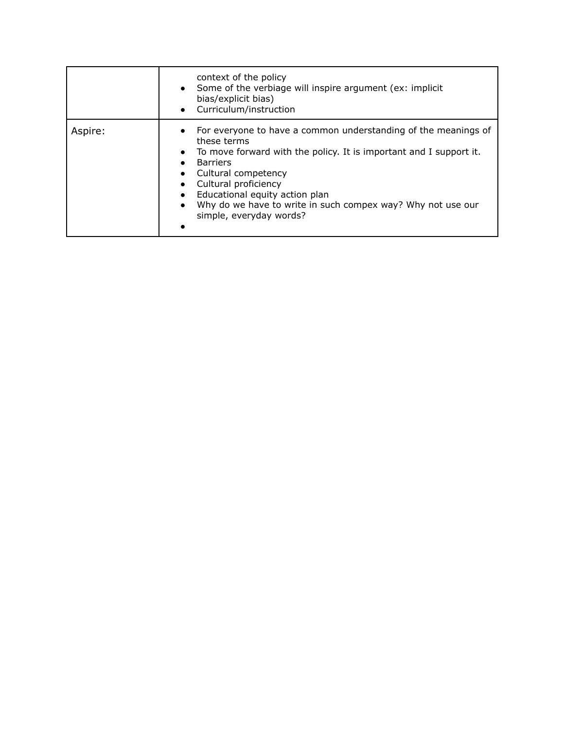|         | context of the policy<br>Some of the verbiage will inspire argument (ex: implicit<br>bias/explicit bias)<br>Curriculum/instruction<br>$\bullet$                                                                                                                                                                                                                |
|---------|----------------------------------------------------------------------------------------------------------------------------------------------------------------------------------------------------------------------------------------------------------------------------------------------------------------------------------------------------------------|
| Aspire: | For everyone to have a common understanding of the meanings of<br>these terms<br>To move forward with the policy. It is important and I support it.<br><b>Barriers</b><br>Cultural competency<br>Cultural proficiency<br>Educational equity action plan<br>Why do we have to write in such compex way? Why not use our<br>$\bullet$<br>simple, everyday words? |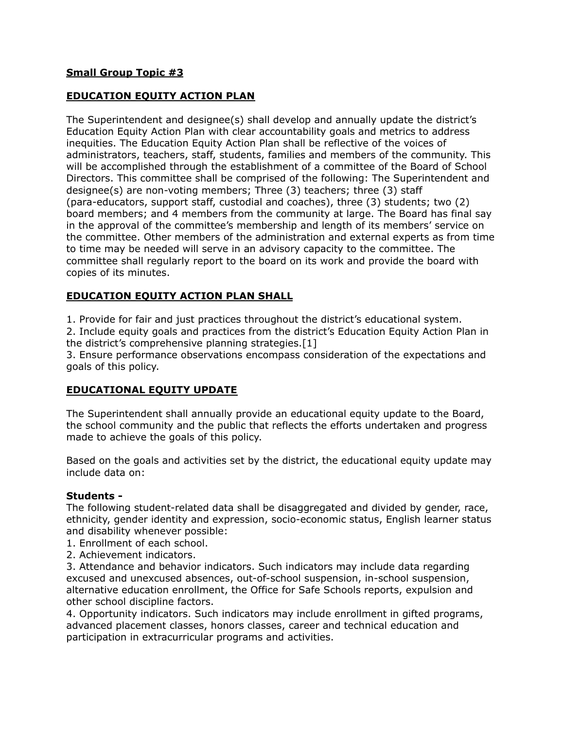# **EDUCATION EQUITY ACTION PLAN**

The Superintendent and designee(s) shall develop and annually update the district's Education Equity Action Plan with clear accountability goals and metrics to address inequities. The Education Equity Action Plan shall be reflective of the voices of administrators, teachers, staff, students, families and members of the community. This will be accomplished through the establishment of a committee of the Board of School Directors. This committee shall be comprised of the following: The Superintendent and designee(s) are non-voting members; Three (3) teachers; three (3) staff (para-educators, support staff, custodial and coaches), three (3) students; two (2) board members; and 4 members from the community at large. The Board has final say in the approval of the committee's membership and length of its members' service on the committee. Other members of the administration and external experts as from time to time may be needed will serve in an advisory capacity to the committee. The committee shall regularly report to the board on its work and provide the board with copies of its minutes.

# **EDUCATION EQUITY ACTION PLAN SHALL**

1. Provide for fair and just practices throughout the district's educational system.

2. Include equity goals and practices from the district's Education Equity Action Plan in the district's comprehensive planning strategies.[1]

3. Ensure performance observations encompass consideration of the expectations and goals of this policy.

### **EDUCATIONAL EQUITY UPDATE**

The Superintendent shall annually provide an educational equity update to the Board, the school community and the public that reflects the efforts undertaken and progress made to achieve the goals of this policy.

Based on the goals and activities set by the district, the educational equity update may include data on:

### **Students -**

The following student-related data shall be disaggregated and divided by gender, race, ethnicity, gender identity and expression, socio-economic status, English learner status and disability whenever possible:

- 1. Enrollment of each school.
- 2. Achievement indicators.

3. Attendance and behavior indicators. Such indicators may include data regarding excused and unexcused absences, out-of-school suspension, in-school suspension, alternative education enrollment, the Office for Safe Schools reports, expulsion and other school discipline factors.

4. Opportunity indicators. Such indicators may include enrollment in gifted programs, advanced placement classes, honors classes, career and technical education and participation in extracurricular programs and activities.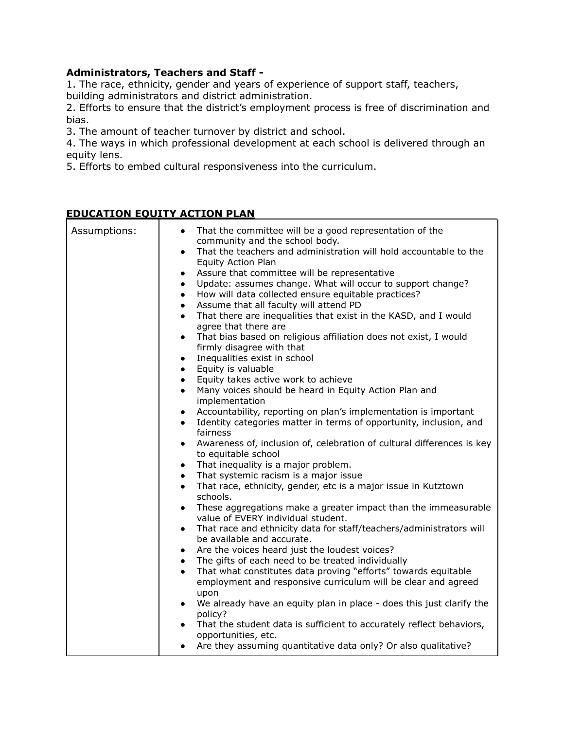# **Administrators, Teachers and Staff -**

1. The race, ethnicity, gender and years of experience of support staff, teachers, building administrators and district administration.

2. Efforts to ensure that the district's employment process is free of discrimination and bias.

3. The amount of teacher turnover by district and school.

4. The ways in which professional development at each school is delivered through an equity lens.

5. Efforts to embed cultural responsiveness into the curriculum.

# **EDUCATION EQUITY ACTION PLAN**

| Assumptions: | That the committee will be a good representation of the<br>$\bullet$<br>community and the school body.<br>That the teachers and administration will hold accountable to the<br>$\bullet$<br>Equity Action Plan<br>Assure that committee will be representative<br>$\bullet$<br>Update: assumes change. What will occur to support change?<br>$\bullet$<br>How will data collected ensure equitable practices?<br>$\bullet$<br>Assume that all faculty will attend PD<br>$\bullet$<br>That there are inequalities that exist in the KASD, and I would<br>$\bullet$<br>agree that there are<br>That bias based on religious affiliation does not exist, I would<br>$\bullet$<br>firmly disagree with that<br>Inequalities exist in school<br>$\bullet$<br>Equity is valuable<br>$\bullet$<br>Equity takes active work to achieve<br>$\bullet$<br>Many voices should be heard in Equity Action Plan and<br>$\bullet$<br>implementation<br>Accountability, reporting on plan's implementation is important<br>$\bullet$<br>Identity categories matter in terms of opportunity, inclusion, and<br>$\bullet$<br>fairness<br>Awareness of, inclusion of, celebration of cultural differences is key<br>$\bullet$<br>to equitable school<br>That inequality is a major problem.<br>$\bullet$<br>That systemic racism is a major issue<br>$\bullet$<br>That race, ethnicity, gender, etc is a major issue in Kutztown<br>$\bullet$<br>schools. |
|--------------|---------------------------------------------------------------------------------------------------------------------------------------------------------------------------------------------------------------------------------------------------------------------------------------------------------------------------------------------------------------------------------------------------------------------------------------------------------------------------------------------------------------------------------------------------------------------------------------------------------------------------------------------------------------------------------------------------------------------------------------------------------------------------------------------------------------------------------------------------------------------------------------------------------------------------------------------------------------------------------------------------------------------------------------------------------------------------------------------------------------------------------------------------------------------------------------------------------------------------------------------------------------------------------------------------------------------------------------------------------------------------------------------------------------------------------------|
|              | These aggregations make a greater impact than the immeasurable<br>$\bullet$<br>value of EVERY individual student.<br>That race and ethnicity data for staff/teachers/administrators will<br>$\bullet$                                                                                                                                                                                                                                                                                                                                                                                                                                                                                                                                                                                                                                                                                                                                                                                                                                                                                                                                                                                                                                                                                                                                                                                                                                 |
|              | be available and accurate.<br>Are the voices heard just the loudest voices?<br>$\bullet$                                                                                                                                                                                                                                                                                                                                                                                                                                                                                                                                                                                                                                                                                                                                                                                                                                                                                                                                                                                                                                                                                                                                                                                                                                                                                                                                              |
|              | The gifts of each need to be treated individually<br>$\bullet$<br>That what constitutes data proving "efforts" towards equitable<br>$\bullet$<br>employment and responsive curriculum will be clear and agreed<br>upon                                                                                                                                                                                                                                                                                                                                                                                                                                                                                                                                                                                                                                                                                                                                                                                                                                                                                                                                                                                                                                                                                                                                                                                                                |
|              | We already have an equity plan in place - does this just clarify the<br>$\bullet$<br>policy?                                                                                                                                                                                                                                                                                                                                                                                                                                                                                                                                                                                                                                                                                                                                                                                                                                                                                                                                                                                                                                                                                                                                                                                                                                                                                                                                          |
|              | That the student data is sufficient to accurately reflect behaviors,<br>opportunities, etc.                                                                                                                                                                                                                                                                                                                                                                                                                                                                                                                                                                                                                                                                                                                                                                                                                                                                                                                                                                                                                                                                                                                                                                                                                                                                                                                                           |
|              | Are they assuming quantitative data only? Or also qualitative?                                                                                                                                                                                                                                                                                                                                                                                                                                                                                                                                                                                                                                                                                                                                                                                                                                                                                                                                                                                                                                                                                                                                                                                                                                                                                                                                                                        |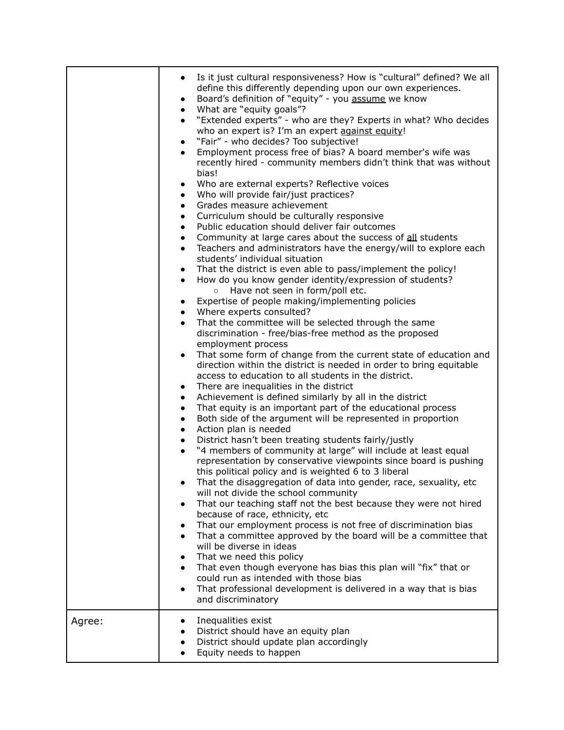|        | Is it just cultural responsiveness? How is "cultural" defined? We all<br>$\bullet$<br>define this differently depending upon our own experiences.<br>Board's definition of "equity" - you assume we know<br>$\bullet$<br>What are "equity goals"?<br>$\bullet$<br>"Extended experts" - who are they? Experts in what? Who decides<br>$\bullet$<br>who an expert is? I'm an expert against equity!<br>"Fair" - who decides? Too subjective!<br>$\bullet$<br>Employment process free of bias? A board member's wife was<br>$\bullet$<br>recently hired - community members didn't think that was without<br>bias!<br>Who are external experts? Reflective voices<br>$\bullet$<br>Who will provide fair/just practices?<br>$\bullet$<br>Grades measure achievement<br>$\bullet$<br>Curriculum should be culturally responsive<br>$\bullet$<br>Public education should deliver fair outcomes<br>$\bullet$<br>Community at large cares about the success of all students<br>$\bullet$<br>Teachers and administrators have the energy/will to explore each<br>$\bullet$<br>students' individual situation<br>That the district is even able to pass/implement the policy!<br>$\bullet$<br>How do you know gender identity/expression of students?<br>$\bullet$<br>o Have not seen in form/poll etc.<br>Expertise of people making/implementing policies<br>$\bullet$<br>Where experts consulted?<br>$\bullet$<br>That the committee will be selected through the same<br>$\bullet$<br>discrimination - free/bias-free method as the proposed<br>employment process<br>That some form of change from the current state of education and<br>$\bullet$<br>direction within the district is needed in order to bring equitable<br>access to education to all students in the district.<br>There are inequalities in the district<br>$\bullet$<br>Achievement is defined similarly by all in the district<br>$\bullet$<br>That equity is an important part of the educational process<br>$\bullet$<br>Both side of the argument will be represented in proportion<br>$\bullet$<br>Action plan is needed<br>$\bullet$<br>District hasn't been treating students fairly/justly<br>$\bullet$<br>"4 members of community at large" will include at least equal<br>$\bullet$<br>representation by conservative viewpoints since board is pushing<br>this political policy and is weighted 6 to 3 liberal<br>That the disaggregation of data into gender, race, sexuality, etc<br>will not divide the school community<br>That our teaching staff not the best because they were not hired<br>$\bullet$<br>because of race, ethnicity, etc<br>That our employment process is not free of discrimination bias<br>$\bullet$<br>That a committee approved by the board will be a committee that<br>will be diverse in ideas<br>That we need this policy<br>$\bullet$<br>That even though everyone has bias this plan will "fix" that or<br>$\bullet$<br>could run as intended with those bias |
|--------|---------------------------------------------------------------------------------------------------------------------------------------------------------------------------------------------------------------------------------------------------------------------------------------------------------------------------------------------------------------------------------------------------------------------------------------------------------------------------------------------------------------------------------------------------------------------------------------------------------------------------------------------------------------------------------------------------------------------------------------------------------------------------------------------------------------------------------------------------------------------------------------------------------------------------------------------------------------------------------------------------------------------------------------------------------------------------------------------------------------------------------------------------------------------------------------------------------------------------------------------------------------------------------------------------------------------------------------------------------------------------------------------------------------------------------------------------------------------------------------------------------------------------------------------------------------------------------------------------------------------------------------------------------------------------------------------------------------------------------------------------------------------------------------------------------------------------------------------------------------------------------------------------------------------------------------------------------------------------------------------------------------------------------------------------------------------------------------------------------------------------------------------------------------------------------------------------------------------------------------------------------------------------------------------------------------------------------------------------------------------------------------------------------------------------------------------------------------------------------------------------------------------------------------------------------------------------------------------------------------------------------------------------------------------------------------------------------------------------------------------------------------------------------------------------------------------------------------------------------------------------------------------------------------------------------------------------------------------------|
|        | That professional development is delivered in a way that is bias<br>$\bullet$<br>and discriminatory                                                                                                                                                                                                                                                                                                                                                                                                                                                                                                                                                                                                                                                                                                                                                                                                                                                                                                                                                                                                                                                                                                                                                                                                                                                                                                                                                                                                                                                                                                                                                                                                                                                                                                                                                                                                                                                                                                                                                                                                                                                                                                                                                                                                                                                                                                                                                                                                                                                                                                                                                                                                                                                                                                                                                                                                                                                                       |
| Agree: | Inequalities exist<br>District should have an equity plan<br>٠<br>District should update plan accordingly<br>Equity needs to happen                                                                                                                                                                                                                                                                                                                                                                                                                                                                                                                                                                                                                                                                                                                                                                                                                                                                                                                                                                                                                                                                                                                                                                                                                                                                                                                                                                                                                                                                                                                                                                                                                                                                                                                                                                                                                                                                                                                                                                                                                                                                                                                                                                                                                                                                                                                                                                                                                                                                                                                                                                                                                                                                                                                                                                                                                                       |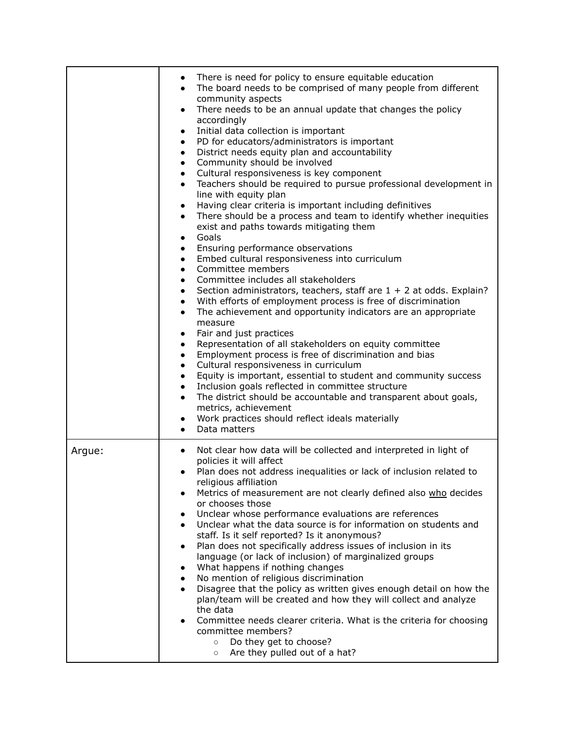|        | There is need for policy to ensure equitable education<br>The board needs to be comprised of many people from different<br>community aspects<br>There needs to be an annual update that changes the policy<br>$\bullet$<br>accordingly<br>Initial data collection is important<br>$\bullet$<br>PD for educators/administrators is important<br>$\bullet$<br>District needs equity plan and accountability<br>$\bullet$<br>Community should be involved<br>$\bullet$<br>Cultural responsiveness is key component<br>$\bullet$<br>Teachers should be required to pursue professional development in<br>$\bullet$<br>line with equity plan<br>Having clear criteria is important including definitives<br>$\bullet$<br>There should be a process and team to identify whether inequities<br>exist and paths towards mitigating them<br>Goals<br>$\bullet$<br>Ensuring performance observations<br>Embed cultural responsiveness into curriculum<br>$\bullet$<br>Committee members<br>$\bullet$<br>Committee includes all stakeholders<br>$\bullet$<br>Section administrators, teachers, staff are $1 + 2$ at odds. Explain?<br>$\bullet$<br>With efforts of employment process is free of discrimination<br>$\bullet$<br>The achievement and opportunity indicators are an appropriate<br>$\bullet$<br>measure<br>Fair and just practices<br>$\bullet$<br>Representation of all stakeholders on equity committee<br>$\bullet$<br>Employment process is free of discrimination and bias<br>$\bullet$<br>Cultural responsiveness in curriculum<br>$\bullet$<br>Equity is important, essential to student and community success<br>$\bullet$<br>Inclusion goals reflected in committee structure<br>The district should be accountable and transparent about goals,<br>$\bullet$<br>metrics, achievement<br>Work practices should reflect ideals materially<br>Data matters |
|--------|-----------------------------------------------------------------------------------------------------------------------------------------------------------------------------------------------------------------------------------------------------------------------------------------------------------------------------------------------------------------------------------------------------------------------------------------------------------------------------------------------------------------------------------------------------------------------------------------------------------------------------------------------------------------------------------------------------------------------------------------------------------------------------------------------------------------------------------------------------------------------------------------------------------------------------------------------------------------------------------------------------------------------------------------------------------------------------------------------------------------------------------------------------------------------------------------------------------------------------------------------------------------------------------------------------------------------------------------------------------------------------------------------------------------------------------------------------------------------------------------------------------------------------------------------------------------------------------------------------------------------------------------------------------------------------------------------------------------------------------------------------------------------------------------------------------------------------------------------------------------------|
| Argue: | Not clear how data will be collected and interpreted in light of<br>policies it will affect<br>Plan does not address inequalities or lack of inclusion related to<br>$\bullet$<br>religious affiliation<br>Metrics of measurement are not clearly defined also who decides<br>or chooses those<br>Unclear whose performance evaluations are references<br>Unclear what the data source is for information on students and<br>staff. Is it self reported? Is it anonymous?<br>Plan does not specifically address issues of inclusion in its<br>language (or lack of inclusion) of marginalized groups<br>What happens if nothing changes<br>No mention of religious discrimination<br>Disagree that the policy as written gives enough detail on how the<br>plan/team will be created and how they will collect and analyze<br>the data<br>Committee needs clearer criteria. What is the criteria for choosing<br>committee members?<br>Do they get to choose?<br>$\circ$<br>Are they pulled out of a hat?<br>$\circ$                                                                                                                                                                                                                                                                                                                                                                                                                                                                                                                                                                                                                                                                                                                                                                                                                                                  |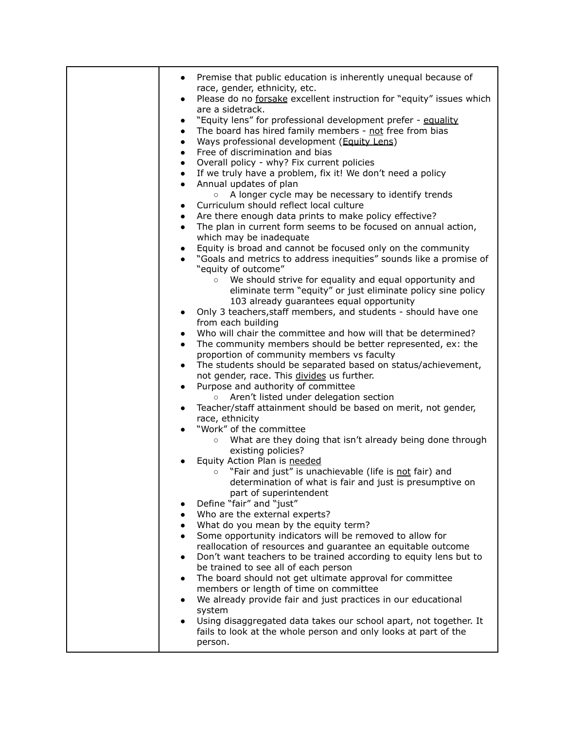| Premise that public education is inherently unequal because of                                                           |
|--------------------------------------------------------------------------------------------------------------------------|
| race, gender, ethnicity, etc.                                                                                            |
| Please do no forsake excellent instruction for "equity" issues which<br>$\bullet$                                        |
| are a sidetrack.                                                                                                         |
| "Equity lens" for professional development prefer - equality<br>$\bullet$                                                |
| The board has hired family members - not free from bias<br>$\bullet$                                                     |
| Ways professional development (Equity Lens)<br>$\bullet$                                                                 |
| Free of discrimination and bias<br>$\bullet$                                                                             |
| Overall policy - why? Fix current policies<br>$\bullet$                                                                  |
| If we truly have a problem, fix it! We don't need a policy<br>$\bullet$                                                  |
| Annual updates of plan<br>$\bullet$<br>A longer cycle may be necessary to identify trends<br>$\circ$                     |
| Curriculum should reflect local culture<br>$\bullet$                                                                     |
| Are there enough data prints to make policy effective?<br>$\bullet$                                                      |
| The plan in current form seems to be focused on annual action,<br>$\bullet$                                              |
| which may be inadequate                                                                                                  |
| Equity is broad and cannot be focused only on the community<br>٠                                                         |
| "Goals and metrics to address inequities" sounds like a promise of<br>$\bullet$                                          |
| "equity of outcome"                                                                                                      |
| We should strive for equality and equal opportunity and<br>$\circ$                                                       |
| eliminate term "equity" or just eliminate policy sine policy                                                             |
| 103 already guarantees equal opportunity                                                                                 |
| Only 3 teachers, staff members, and students - should have one<br>$\bullet$                                              |
| from each building                                                                                                       |
| Who will chair the committee and how will that be determined?<br>$\bullet$                                               |
| The community members should be better represented, ex: the<br>$\bullet$                                                 |
| proportion of community members vs faculty                                                                               |
| The students should be separated based on status/achievement,<br>$\bullet$                                               |
| not gender, race. This divides us further.<br>Purpose and authority of committee<br>$\bullet$                            |
| Aren't listed under delegation section<br>$\circ$                                                                        |
| Teacher/staff attainment should be based on merit, not gender,<br>$\bullet$                                              |
| race, ethnicity                                                                                                          |
| "Work" of the committee                                                                                                  |
| What are they doing that isn't already being done through<br>$\circ$                                                     |
| existing policies?                                                                                                       |
| Equity Action Plan is needed                                                                                             |
| "Fair and just" is unachievable (life is not fair) and<br>$\circ$                                                        |
| determination of what is fair and just is presumptive on                                                                 |
| part of superintendent                                                                                                   |
| Define "fair" and "just"                                                                                                 |
| Who are the external experts?<br>$\bullet$                                                                               |
| What do you mean by the equity term?                                                                                     |
| Some opportunity indicators will be removed to allow for<br>reallocation of resources and guarantee an equitable outcome |
| Don't want teachers to be trained according to equity lens but to                                                        |
| be trained to see all of each person                                                                                     |
| The board should not get ultimate approval for committee<br>$\bullet$                                                    |
| members or length of time on committee                                                                                   |
| We already provide fair and just practices in our educational                                                            |
| system                                                                                                                   |
| Using disaggregated data takes our school apart, not together. It                                                        |
| fails to look at the whole person and only looks at part of the                                                          |
| person.                                                                                                                  |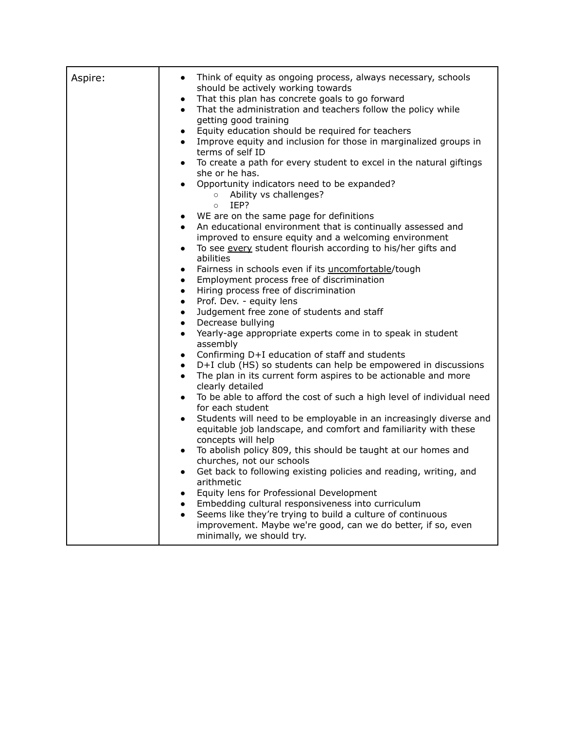| Aspire: | Think of equity as ongoing process, always necessary, schools<br>$\bullet$<br>should be actively working towards<br>That this plan has concrete goals to go forward<br>$\bullet$<br>That the administration and teachers follow the policy while<br>$\bullet$<br>getting good training<br>Equity education should be required for teachers<br>$\bullet$<br>Improve equity and inclusion for those in marginalized groups in<br>$\bullet$<br>terms of self ID<br>To create a path for every student to excel in the natural giftings<br>$\bullet$<br>she or he has.<br>Opportunity indicators need to be expanded?<br>$\bullet$<br>Ability vs challenges?<br>$\circ$<br>IEP?<br>$\circ$<br>WE are on the same page for definitions<br>$\bullet$<br>An educational environment that is continually assessed and<br>$\bullet$<br>improved to ensure equity and a welcoming environment<br>To see every student flourish according to his/her gifts and<br>$\bullet$<br>abilities<br>Fairness in schools even if its uncomfortable/tough<br>$\bullet$<br>Employment process free of discrimination<br>$\bullet$<br>Hiring process free of discrimination<br>$\bullet$<br>Prof. Dev. - equity lens<br>$\bullet$<br>Judgement free zone of students and staff<br>$\bullet$<br>Decrease bullying<br>$\bullet$<br>Yearly-age appropriate experts come in to speak in student<br>$\bullet$<br>assembly<br>Confirming D+I education of staff and students<br>$\bullet$<br>D+I club (HS) so students can help be empowered in discussions<br>$\bullet$<br>The plan in its current form aspires to be actionable and more<br>$\bullet$<br>clearly detailed<br>To be able to afford the cost of such a high level of individual need<br>$\bullet$<br>for each student<br>Students will need to be employable in an increasingly diverse and<br>$\bullet$<br>equitable job landscape, and comfort and familiarity with these<br>concepts will help<br>To abolish policy 809, this should be taught at our homes and<br>$\bullet$<br>churches, not our schools<br>Get back to following existing policies and reading, writing, and<br>$\bullet$<br>arithmetic<br>Equity lens for Professional Development<br>$\bullet$<br>Embedding cultural responsiveness into curriculum<br>$\bullet$<br>Seems like they're trying to build a culture of continuous<br>$\bullet$ |
|---------|-------------------------------------------------------------------------------------------------------------------------------------------------------------------------------------------------------------------------------------------------------------------------------------------------------------------------------------------------------------------------------------------------------------------------------------------------------------------------------------------------------------------------------------------------------------------------------------------------------------------------------------------------------------------------------------------------------------------------------------------------------------------------------------------------------------------------------------------------------------------------------------------------------------------------------------------------------------------------------------------------------------------------------------------------------------------------------------------------------------------------------------------------------------------------------------------------------------------------------------------------------------------------------------------------------------------------------------------------------------------------------------------------------------------------------------------------------------------------------------------------------------------------------------------------------------------------------------------------------------------------------------------------------------------------------------------------------------------------------------------------------------------------------------------------------------------------------------------------------------------------------------------------------------------------------------------------------------------------------------------------------------------------------------------------------------------------------------------------------------------------------------------------------------------------------------------------------------------------------------------------------------------------------------------------------------------------------------------------------|
|         | improvement. Maybe we're good, can we do better, if so, even<br>minimally, we should try.                                                                                                                                                                                                                                                                                                                                                                                                                                                                                                                                                                                                                                                                                                                                                                                                                                                                                                                                                                                                                                                                                                                                                                                                                                                                                                                                                                                                                                                                                                                                                                                                                                                                                                                                                                                                                                                                                                                                                                                                                                                                                                                                                                                                                                                             |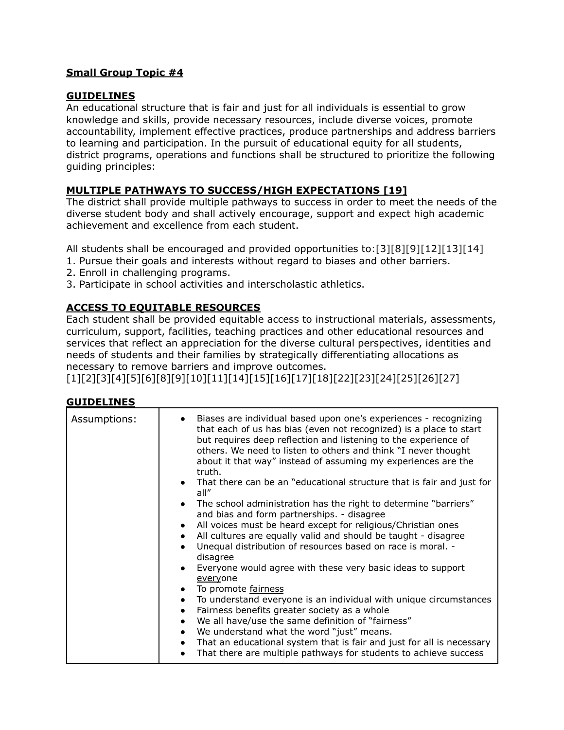# **GUIDELINES**

An educational structure that is fair and just for all individuals is essential to grow knowledge and skills, provide necessary resources, include diverse voices, promote accountability, implement effective practices, produce partnerships and address barriers to learning and participation. In the pursuit of educational equity for all students, district programs, operations and functions shall be structured to prioritize the following guiding principles:

# **MULTIPLE PATHWAYS TO SUCCESS/HIGH EXPECTATIONS [19]**

The district shall provide multiple pathways to success in order to meet the needs of the diverse student body and shall actively encourage, support and expect high academic achievement and excellence from each student.

All students shall be encouraged and provided opportunities to:[3][8][9][12][13][14]

- 1. Pursue their goals and interests without regard to biases and other barriers.
- 2. Enroll in challenging programs.
- 3. Participate in school activities and interscholastic athletics.

# **ACCESS TO EQUITABLE RESOURCES**

Each student shall be provided equitable access to instructional materials, assessments, curriculum, support, facilities, teaching practices and other educational resources and services that reflect an appreciation for the diverse cultural perspectives, identities and needs of students and their families by strategically differentiating allocations as necessary to remove barriers and improve outcomes.

[1][2][3][4][5][6][8][9][10][11][14][15][16][17][18][22][23][24][25][26][27]

### **GUIDELINES**

| Assumptions: | Biases are individual based upon one's experiences - recognizing<br>that each of us has bias (even not recognized) is a place to start<br>but requires deep reflection and listening to the experience of<br>others. We need to listen to others and think "I never thought<br>about it that way" instead of assuming my experiences are the<br>truth. |
|--------------|--------------------------------------------------------------------------------------------------------------------------------------------------------------------------------------------------------------------------------------------------------------------------------------------------------------------------------------------------------|
|              | That there can be an "educational structure that is fair and just for<br>all"                                                                                                                                                                                                                                                                          |
|              | The school administration has the right to determine "barriers"<br>and bias and form partnerships. - disagree                                                                                                                                                                                                                                          |
|              | All voices must be heard except for religious/Christian ones<br>$\bullet$<br>All cultures are equally valid and should be taught - disagree                                                                                                                                                                                                            |
|              | Unequal distribution of resources based on race is moral. -<br>$\bullet$<br>disagree                                                                                                                                                                                                                                                                   |
|              | Everyone would agree with these very basic ideas to support<br>everyone                                                                                                                                                                                                                                                                                |
|              | To promote fairness                                                                                                                                                                                                                                                                                                                                    |
|              | To understand everyone is an individual with unique circumstances<br>$\bullet$                                                                                                                                                                                                                                                                         |
|              | Fairness benefits greater society as a whole<br>$\bullet$                                                                                                                                                                                                                                                                                              |
|              | We all have/use the same definition of "fairness"<br>$\bullet$                                                                                                                                                                                                                                                                                         |
|              | We understand what the word "just" means.<br>$\bullet$                                                                                                                                                                                                                                                                                                 |
|              | That an educational system that is fair and just for all is necessary                                                                                                                                                                                                                                                                                  |
|              | That there are multiple pathways for students to achieve success<br>$\bullet$                                                                                                                                                                                                                                                                          |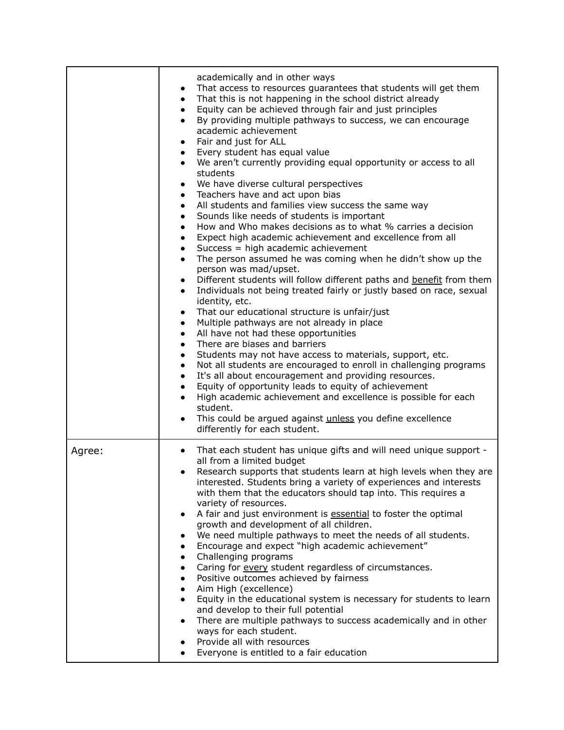|        | academically and in other ways<br>That access to resources guarantees that students will get them<br>$\bullet$<br>That this is not happening in the school district already<br>$\bullet$<br>Equity can be achieved through fair and just principles<br>$\bullet$<br>By providing multiple pathways to success, we can encourage<br>$\bullet$<br>academic achievement<br>Fair and just for ALL<br>$\bullet$<br>Every student has equal value<br>$\bullet$<br>We aren't currently providing equal opportunity or access to all<br>students<br>We have diverse cultural perspectives<br>$\bullet$<br>Teachers have and act upon bias<br>$\bullet$<br>All students and families view success the same way<br>$\bullet$<br>Sounds like needs of students is important<br>$\bullet$<br>How and Who makes decisions as to what % carries a decision<br>$\bullet$<br>Expect high academic achievement and excellence from all<br>$\bullet$<br>Success = high academic achievement<br>$\bullet$<br>The person assumed he was coming when he didn't show up the<br>$\bullet$<br>person was mad/upset.<br>Different students will follow different paths and benefit from them<br>$\bullet$<br>Individuals not being treated fairly or justly based on race, sexual<br>$\bullet$<br>identity, etc.<br>That our educational structure is unfair/just<br>$\bullet$<br>Multiple pathways are not already in place<br>$\bullet$<br>All have not had these opportunities<br>$\bullet$<br>There are biases and barriers<br>$\bullet$<br>Students may not have access to materials, support, etc.<br>$\bullet$<br>Not all students are encouraged to enroll in challenging programs<br>$\bullet$<br>It's all about encouragement and providing resources.<br>$\bullet$<br>Equity of opportunity leads to equity of achievement<br>$\bullet$<br>High academic achievement and excellence is possible for each<br>student.<br>This could be argued against unless you define excellence<br>differently for each student. |
|--------|------------------------------------------------------------------------------------------------------------------------------------------------------------------------------------------------------------------------------------------------------------------------------------------------------------------------------------------------------------------------------------------------------------------------------------------------------------------------------------------------------------------------------------------------------------------------------------------------------------------------------------------------------------------------------------------------------------------------------------------------------------------------------------------------------------------------------------------------------------------------------------------------------------------------------------------------------------------------------------------------------------------------------------------------------------------------------------------------------------------------------------------------------------------------------------------------------------------------------------------------------------------------------------------------------------------------------------------------------------------------------------------------------------------------------------------------------------------------------------------------------------------------------------------------------------------------------------------------------------------------------------------------------------------------------------------------------------------------------------------------------------------------------------------------------------------------------------------------------------------------------------------------------------------------------------------------------------------------------------------------------|
| Agree: | That each student has unique gifts and will need unique support -<br>$\bullet$<br>all from a limited budget<br>Research supports that students learn at high levels when they are<br>$\bullet$<br>interested. Students bring a variety of experiences and interests<br>with them that the educators should tap into. This requires a<br>variety of resources.<br>A fair and just environment is essential to foster the optimal<br>$\bullet$<br>growth and development of all children.<br>We need multiple pathways to meet the needs of all students.<br>Encourage and expect "high academic achievement"<br>$\bullet$<br>Challenging programs<br>$\bullet$<br>Caring for every student regardless of circumstances.<br>$\bullet$<br>Positive outcomes achieved by fairness<br>$\bullet$<br>Aim High (excellence)<br>$\bullet$<br>Equity in the educational system is necessary for students to learn<br>$\bullet$<br>and develop to their full potential<br>There are multiple pathways to success academically and in other<br>$\bullet$<br>ways for each student.<br>Provide all with resources<br>Everyone is entitled to a fair education                                                                                                                                                                                                                                                                                                                                                                                                                                                                                                                                                                                                                                                                                                                                                                                                                                                     |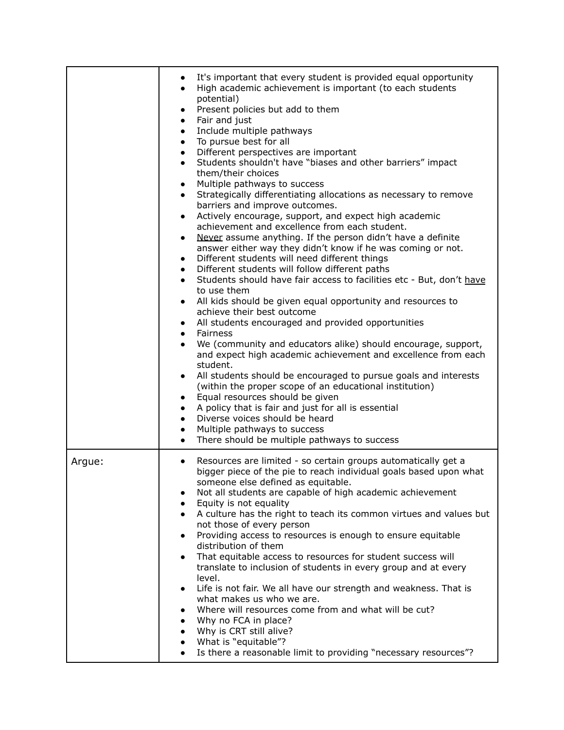|        | It's important that every student is provided equal opportunity<br>$\bullet$<br>High academic achievement is important (to each students<br>$\bullet$<br>potential)<br>Present policies but add to them<br>$\bullet$<br>Fair and just<br>$\bullet$<br>Include multiple pathways<br>$\bullet$<br>To pursue best for all<br>$\bullet$<br>Different perspectives are important<br>$\bullet$<br>Students shouldn't have "biases and other barriers" impact<br>$\bullet$<br>them/their choices<br>Multiple pathways to success<br>$\bullet$<br>Strategically differentiating allocations as necessary to remove<br>$\bullet$<br>barriers and improve outcomes.<br>Actively encourage, support, and expect high academic<br>$\bullet$<br>achievement and excellence from each student.<br>Never assume anything. If the person didn't have a definite<br>$\bullet$<br>answer either way they didn't know if he was coming or not.<br>Different students will need different things<br>$\bullet$<br>Different students will follow different paths<br>$\bullet$<br>Students should have fair access to facilities etc - But, don't have<br>$\bullet$<br>to use them<br>All kids should be given equal opportunity and resources to<br>$\bullet$<br>achieve their best outcome<br>All students encouraged and provided opportunities<br>$\bullet$<br><b>Fairness</b><br>$\bullet$<br>We (community and educators alike) should encourage, support,<br>$\bullet$<br>and expect high academic achievement and excellence from each<br>student.<br>All students should be encouraged to pursue goals and interests<br>$\bullet$<br>(within the proper scope of an educational institution)<br>Equal resources should be given<br>$\bullet$<br>A policy that is fair and just for all is essential<br>$\bullet$<br>Diverse voices should be heard<br>$\bullet$<br>Multiple pathways to success<br>$\bullet$<br>There should be multiple pathways to success<br>$\bullet$ |
|--------|--------------------------------------------------------------------------------------------------------------------------------------------------------------------------------------------------------------------------------------------------------------------------------------------------------------------------------------------------------------------------------------------------------------------------------------------------------------------------------------------------------------------------------------------------------------------------------------------------------------------------------------------------------------------------------------------------------------------------------------------------------------------------------------------------------------------------------------------------------------------------------------------------------------------------------------------------------------------------------------------------------------------------------------------------------------------------------------------------------------------------------------------------------------------------------------------------------------------------------------------------------------------------------------------------------------------------------------------------------------------------------------------------------------------------------------------------------------------------------------------------------------------------------------------------------------------------------------------------------------------------------------------------------------------------------------------------------------------------------------------------------------------------------------------------------------------------------------------------------------------------------------------------------------------------------------------------------------|
| Argue: | Resources are limited - so certain groups automatically get a<br>$\bullet$<br>bigger piece of the pie to reach individual goals based upon what<br>someone else defined as equitable.<br>Not all students are capable of high academic achievement<br>٠<br>Equity is not equality<br>$\bullet$<br>A culture has the right to teach its common virtues and values but<br>$\bullet$<br>not those of every person<br>Providing access to resources is enough to ensure equitable<br>٠<br>distribution of them<br>That equitable access to resources for student success will<br>translate to inclusion of students in every group and at every<br>level.<br>Life is not fair. We all have our strength and weakness. That is<br>$\bullet$<br>what makes us who we are.<br>Where will resources come from and what will be cut?<br>Why no FCA in place?<br>Why is CRT still alive?<br>$\bullet$<br>What is "equitable"?<br>Is there a reasonable limit to providing "necessary resources"?                                                                                                                                                                                                                                                                                                                                                                                                                                                                                                                                                                                                                                                                                                                                                                                                                                                                                                                                                                       |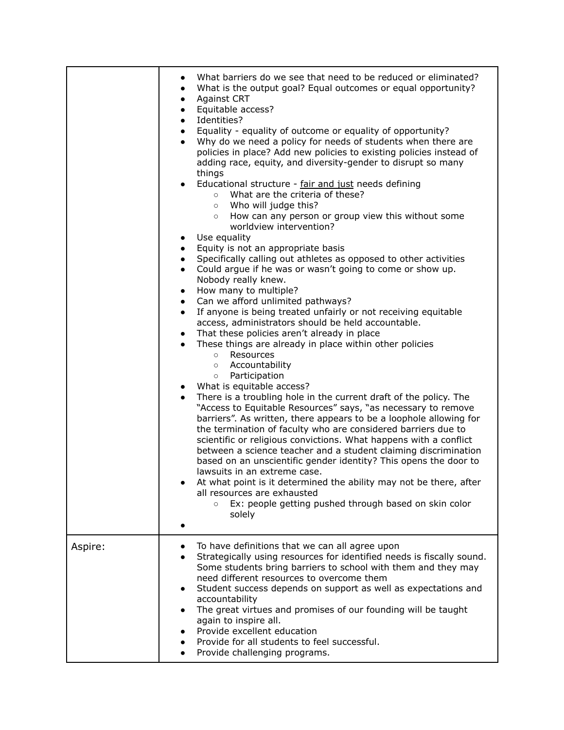|         | What barriers do we see that need to be reduced or eliminated?<br>$\bullet$<br>What is the output goal? Equal outcomes or equal opportunity?<br>$\bullet$<br><b>Against CRT</b><br>$\bullet$<br>Equitable access?<br>$\bullet$<br>Identities?<br>$\bullet$<br>Equality - equality of outcome or equality of opportunity?<br>$\bullet$<br>Why do we need a policy for needs of students when there are<br>$\bullet$<br>policies in place? Add new policies to existing policies instead of<br>adding race, equity, and diversity-gender to disrupt so many<br>things<br>Educational structure - fair and just needs defining<br>$\bullet$<br>What are the criteria of these?<br>$\circ$<br>Who will judge this?<br>$\circ$<br>How can any person or group view this without some<br>$\circ$<br>worldview intervention?<br>Use equality<br>$\bullet$<br>Equity is not an appropriate basis<br>$\bullet$<br>Specifically calling out athletes as opposed to other activities<br>$\bullet$<br>Could argue if he was or wasn't going to come or show up.<br>$\bullet$<br>Nobody really knew.<br>How many to multiple?<br>$\bullet$<br>Can we afford unlimited pathways?<br>$\bullet$<br>If anyone is being treated unfairly or not receiving equitable<br>$\bullet$<br>access, administrators should be held accountable.<br>That these policies aren't already in place<br>$\bullet$<br>These things are already in place within other policies<br>$\bullet$<br>Resources<br>$\circ$<br>o Accountability<br>Participation<br>$\circ$<br>What is equitable access?<br>There is a troubling hole in the current draft of the policy. The<br>$\bullet$<br>"Access to Equitable Resources" says, "as necessary to remove<br>barriers". As written, there appears to be a loophole allowing for<br>the termination of faculty who are considered barriers due to<br>scientific or religious convictions. What happens with a conflict<br>between a science teacher and a student claiming discrimination<br>based on an unscientific gender identity? This opens the door to<br>lawsuits in an extreme case.<br>At what point is it determined the ability may not be there, after<br>all resources are exhausted<br>Ex: people getting pushed through based on skin color<br>$\circ$<br>solely |
|---------|----------------------------------------------------------------------------------------------------------------------------------------------------------------------------------------------------------------------------------------------------------------------------------------------------------------------------------------------------------------------------------------------------------------------------------------------------------------------------------------------------------------------------------------------------------------------------------------------------------------------------------------------------------------------------------------------------------------------------------------------------------------------------------------------------------------------------------------------------------------------------------------------------------------------------------------------------------------------------------------------------------------------------------------------------------------------------------------------------------------------------------------------------------------------------------------------------------------------------------------------------------------------------------------------------------------------------------------------------------------------------------------------------------------------------------------------------------------------------------------------------------------------------------------------------------------------------------------------------------------------------------------------------------------------------------------------------------------------------------------------------------------------------------------------------------------------------------------------------------------------------------------------------------------------------------------------------------------------------------------------------------------------------------------------------------------------------------------------------------------------------------------------------------------------------------------------------------------------------------------------------------------------------------------|
| Aspire: | To have definitions that we can all agree upon<br>Strategically using resources for identified needs is fiscally sound.<br>Some students bring barriers to school with them and they may<br>need different resources to overcome them<br>Student success depends on support as well as expectations and<br>$\bullet$<br>accountability<br>The great virtues and promises of our founding will be taught<br>$\bullet$<br>again to inspire all.<br>Provide excellent education<br>Provide for all students to feel successful.<br>Provide challenging programs.                                                                                                                                                                                                                                                                                                                                                                                                                                                                                                                                                                                                                                                                                                                                                                                                                                                                                                                                                                                                                                                                                                                                                                                                                                                                                                                                                                                                                                                                                                                                                                                                                                                                                                                          |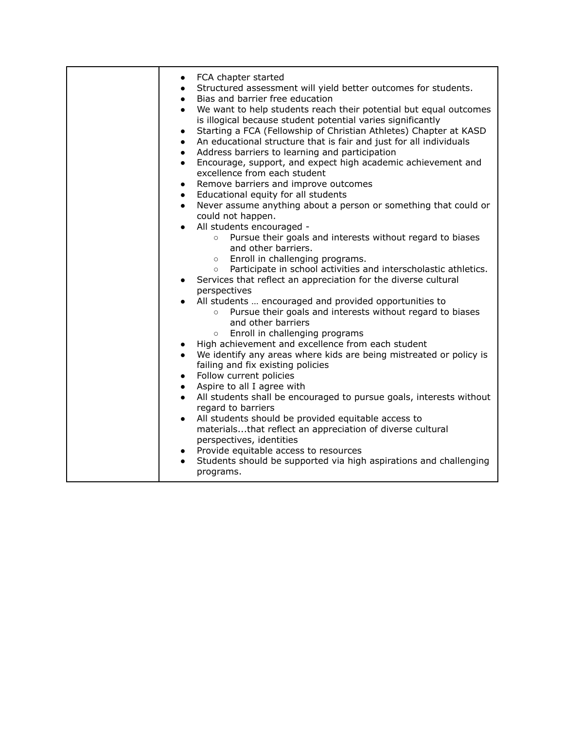| FCA chapter started<br>$\bullet$<br>Structured assessment will yield better outcomes for students.<br>$\bullet$<br>Bias and barrier free education<br>$\bullet$<br>We want to help students reach their potential but equal outcomes<br>$\bullet$<br>is illogical because student potential varies significantly<br>Starting a FCA (Fellowship of Christian Athletes) Chapter at KASD<br>$\bullet$<br>An educational structure that is fair and just for all individuals<br>$\bullet$<br>Address barriers to learning and participation<br>$\bullet$<br>Encourage, support, and expect high academic achievement and<br>$\bullet$<br>excellence from each student<br>Remove barriers and improve outcomes<br>$\bullet$<br>Educational equity for all students<br>$\bullet$<br>Never assume anything about a person or something that could or<br>$\bullet$<br>could not happen. |
|---------------------------------------------------------------------------------------------------------------------------------------------------------------------------------------------------------------------------------------------------------------------------------------------------------------------------------------------------------------------------------------------------------------------------------------------------------------------------------------------------------------------------------------------------------------------------------------------------------------------------------------------------------------------------------------------------------------------------------------------------------------------------------------------------------------------------------------------------------------------------------|
| All students encouraged -<br>$\bullet$<br>Pursue their goals and interests without regard to biases<br>$\circ$<br>and other barriers.<br>Enroll in challenging programs.<br>$\circ$<br>Participate in school activities and interscholastic athletics.<br>$\circ$<br>Services that reflect an appreciation for the diverse cultural<br>$\bullet$                                                                                                                                                                                                                                                                                                                                                                                                                                                                                                                                |
| perspectives<br>All students  encouraged and provided opportunities to<br>$\bullet$<br>Pursue their goals and interests without regard to biases<br>$\circ$<br>and other barriers<br>Enroll in challenging programs<br>$\circ$<br>High achievement and excellence from each student<br>$\bullet$<br>We identify any areas where kids are being mistreated or policy is<br>failing and fix existing policies                                                                                                                                                                                                                                                                                                                                                                                                                                                                     |
| Follow current policies<br>$\bullet$<br>Aspire to all I agree with<br>$\bullet$<br>All students shall be encouraged to pursue goals, interests without<br>regard to barriers<br>All students should be provided equitable access to<br>$\bullet$<br>materialsthat reflect an appreciation of diverse cultural<br>perspectives, identities<br>Provide equitable access to resources<br>Students should be supported via high aspirations and challenging<br>$\bullet$<br>programs.                                                                                                                                                                                                                                                                                                                                                                                               |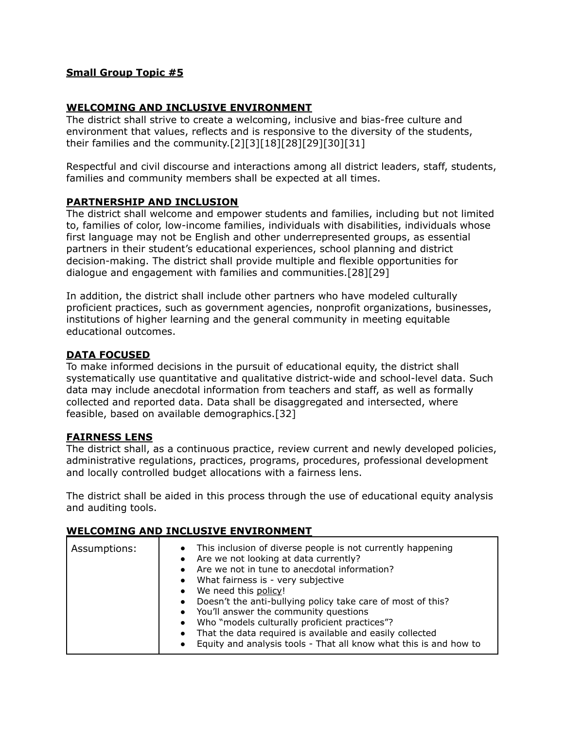## **WELCOMING AND INCLUSIVE ENVIRONMENT**

The district shall strive to create a welcoming, inclusive and bias-free culture and environment that values, reflects and is responsive to the diversity of the students, their families and the community.[2][3][18][28][29][30][31]

Respectful and civil discourse and interactions among all district leaders, staff, students, families and community members shall be expected at all times.

### **PARTNERSHIP AND INCLUSION**

The district shall welcome and empower students and families, including but not limited to, families of color, low-income families, individuals with disabilities, individuals whose first language may not be English and other underrepresented groups, as essential partners in their student's educational experiences, school planning and district decision-making. The district shall provide multiple and flexible opportunities for dialogue and engagement with families and communities.[28][29]

In addition, the district shall include other partners who have modeled culturally proficient practices, such as government agencies, nonprofit organizations, businesses, institutions of higher learning and the general community in meeting equitable educational outcomes.

### **DATA FOCUSED**

To make informed decisions in the pursuit of educational equity, the district shall systematically use quantitative and qualitative district-wide and school-level data. Such data may include anecdotal information from teachers and staff, as well as formally collected and reported data. Data shall be disaggregated and intersected, where feasible, based on available demographics.[32]

### **FAIRNESS LENS**

The district shall, as a continuous practice, review current and newly developed policies, administrative regulations, practices, programs, procedures, professional development and locally controlled budget allocations with a fairness lens.

The district shall be aided in this process through the use of educational equity analysis and auditing tools.

### **WELCOMING AND INCLUSIVE ENVIRONMENT**

| Assumptions: | This inclusion of diverse people is not currently happening<br>$\bullet$<br>Are we not looking at data currently?<br>$\bullet$<br>Are we not in tune to anecdotal information?<br>• What fairness is - very subjective<br>We need this policy!<br>$\bullet$<br>Doesn't the anti-bullying policy take care of most of this?<br>$\bullet$<br>• You'll answer the community questions<br>Who "models culturally proficient practices"?<br>$\bullet$<br>That the data required is available and easily collected<br>$\bullet$ |
|--------------|---------------------------------------------------------------------------------------------------------------------------------------------------------------------------------------------------------------------------------------------------------------------------------------------------------------------------------------------------------------------------------------------------------------------------------------------------------------------------------------------------------------------------|
|              | Equity and analysis tools - That all know what this is and how to<br>$\bullet$                                                                                                                                                                                                                                                                                                                                                                                                                                            |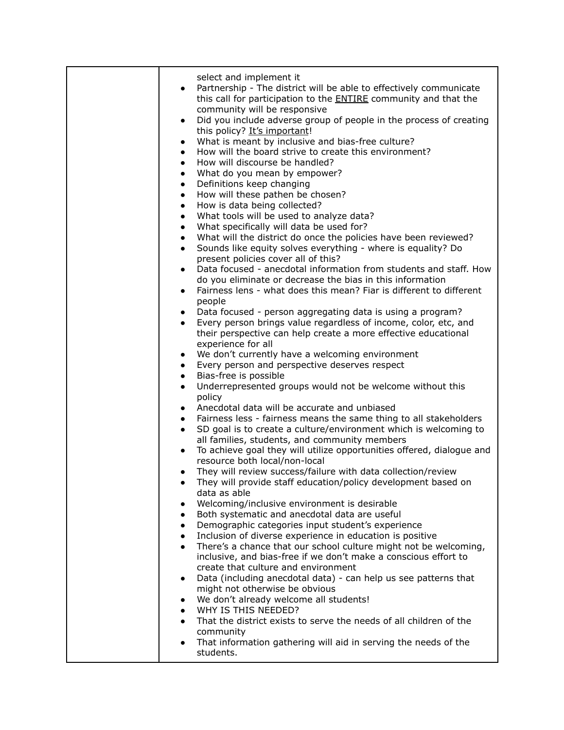| select and implement it<br>Partnership - The district will be able to effectively communicate<br>this call for participation to the <b>ENTIRE</b> community and that the<br>community will be responsive<br>Did you include adverse group of people in the process of creating<br>$\bullet$<br>this policy? It's important!<br>What is meant by inclusive and bias-free culture?<br>$\bullet$<br>How will the board strive to create this environment?<br>$\bullet$<br>How will discourse be handled?<br>$\bullet$<br>What do you mean by empower?<br>$\bullet$<br>Definitions keep changing<br>$\bullet$<br>How will these pathen be chosen?<br>$\bullet$<br>How is data being collected?<br>$\bullet$<br>What tools will be used to analyze data?<br>$\bullet$<br>What specifically will data be used for?<br>$\bullet$<br>What will the district do once the policies have been reviewed?<br>$\bullet$<br>Sounds like equity solves everything - where is equality? Do<br>$\bullet$<br>present policies cover all of this?<br>Data focused - anecdotal information from students and staff. How<br>$\bullet$<br>do you eliminate or decrease the bias in this information<br>Fairness lens - what does this mean? Fiar is different to different<br>$\bullet$<br>people<br>Data focused - person aggregating data is using a program?<br>$\bullet$<br>Every person brings value regardless of income, color, etc, and<br>their perspective can help create a more effective educational<br>experience for all<br>We don't currently have a welcoming environment<br>$\bullet$<br>Every person and perspective deserves respect<br>$\bullet$<br>Bias-free is possible<br>$\bullet$<br>Underrepresented groups would not be welcome without this<br>$\bullet$<br>policy<br>Anecdotal data will be accurate and unbiased<br>$\bullet$<br>Fairness less - fairness means the same thing to all stakeholders<br>$\bullet$<br>SD goal is to create a culture/environment which is welcoming to<br>$\bullet$<br>all families, students, and community members<br>To achieve goal they will utilize opportunities offered, dialogue and<br>resource both local/non-local<br>They will review success/failure with data collection/review<br>They will provide staff education/policy development based on<br>data as able<br>Welcoming/inclusive environment is desirable<br>Both systematic and anecdotal data are useful<br>Demographic categories input student's experience<br>$\bullet$<br>Inclusion of diverse experience in education is positive<br>There's a chance that our school culture might not be welcoming,<br>$\bullet$<br>inclusive, and bias-free if we don't make a conscious effort to<br>create that culture and environment<br>Data (including anecdotal data) - can help us see patterns that<br>$\bullet$<br>might not otherwise be obvious<br>We don't already welcome all students!<br>WHY IS THIS NEEDED? |
|-----------------------------------------------------------------------------------------------------------------------------------------------------------------------------------------------------------------------------------------------------------------------------------------------------------------------------------------------------------------------------------------------------------------------------------------------------------------------------------------------------------------------------------------------------------------------------------------------------------------------------------------------------------------------------------------------------------------------------------------------------------------------------------------------------------------------------------------------------------------------------------------------------------------------------------------------------------------------------------------------------------------------------------------------------------------------------------------------------------------------------------------------------------------------------------------------------------------------------------------------------------------------------------------------------------------------------------------------------------------------------------------------------------------------------------------------------------------------------------------------------------------------------------------------------------------------------------------------------------------------------------------------------------------------------------------------------------------------------------------------------------------------------------------------------------------------------------------------------------------------------------------------------------------------------------------------------------------------------------------------------------------------------------------------------------------------------------------------------------------------------------------------------------------------------------------------------------------------------------------------------------------------------------------------------------------------------------------------------------------------------------------------------------------------------------------------------------------------------------------------------------------------------------------------------------------------------------------------------------------------------------------------------------------------------------------------------------------------------------------------------------------------------------------------------------------------------------------------------------------------------------------------------------------------------------|
| That the district exists to serve the needs of all children of the<br>community<br>That information gathering will aid in serving the needs of the                                                                                                                                                                                                                                                                                                                                                                                                                                                                                                                                                                                                                                                                                                                                                                                                                                                                                                                                                                                                                                                                                                                                                                                                                                                                                                                                                                                                                                                                                                                                                                                                                                                                                                                                                                                                                                                                                                                                                                                                                                                                                                                                                                                                                                                                                                                                                                                                                                                                                                                                                                                                                                                                                                                                                                                |
| students.                                                                                                                                                                                                                                                                                                                                                                                                                                                                                                                                                                                                                                                                                                                                                                                                                                                                                                                                                                                                                                                                                                                                                                                                                                                                                                                                                                                                                                                                                                                                                                                                                                                                                                                                                                                                                                                                                                                                                                                                                                                                                                                                                                                                                                                                                                                                                                                                                                                                                                                                                                                                                                                                                                                                                                                                                                                                                                                         |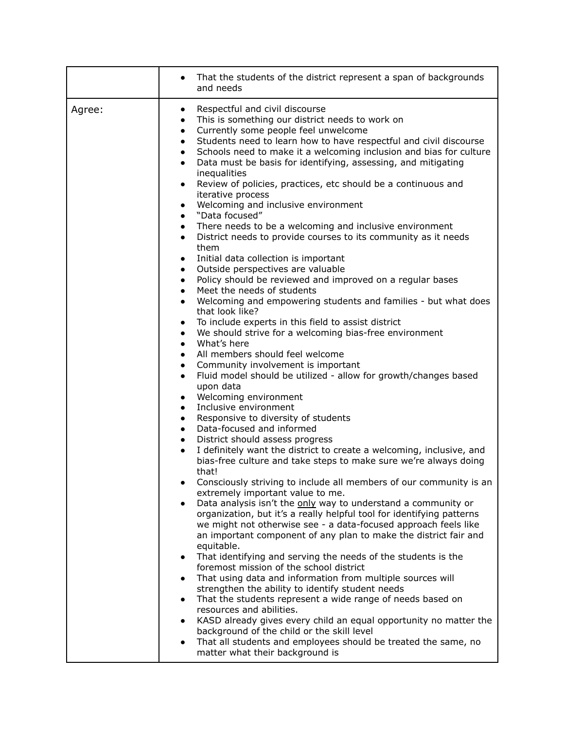|        | That the students of the district represent a span of backgrounds<br>and needs                                                                                                                                                                                                                                                                                                                                                                                                                                                                                                                                                                                                                                                                                                                                                                                                                                                                                                                                                                                                                                                                                                                                                                                                                                                                                                                                                                                                                                                                                                                                                                                                                                                                                                                                                                                                                                                                                                                                                                                                                                                                                                                                                                                                                                                                                                                                                                                  |
|--------|-----------------------------------------------------------------------------------------------------------------------------------------------------------------------------------------------------------------------------------------------------------------------------------------------------------------------------------------------------------------------------------------------------------------------------------------------------------------------------------------------------------------------------------------------------------------------------------------------------------------------------------------------------------------------------------------------------------------------------------------------------------------------------------------------------------------------------------------------------------------------------------------------------------------------------------------------------------------------------------------------------------------------------------------------------------------------------------------------------------------------------------------------------------------------------------------------------------------------------------------------------------------------------------------------------------------------------------------------------------------------------------------------------------------------------------------------------------------------------------------------------------------------------------------------------------------------------------------------------------------------------------------------------------------------------------------------------------------------------------------------------------------------------------------------------------------------------------------------------------------------------------------------------------------------------------------------------------------------------------------------------------------------------------------------------------------------------------------------------------------------------------------------------------------------------------------------------------------------------------------------------------------------------------------------------------------------------------------------------------------------------------------------------------------------------------------------------------------|
| Agree: | Respectful and civil discourse<br>$\bullet$<br>This is something our district needs to work on<br>$\bullet$<br>Currently some people feel unwelcome<br>$\bullet$<br>Students need to learn how to have respectful and civil discourse<br>$\bullet$<br>Schools need to make it a welcoming inclusion and bias for culture<br>$\bullet$<br>Data must be basis for identifying, assessing, and mitigating<br>$\bullet$<br>inequalities<br>Review of policies, practices, etc should be a continuous and<br>$\bullet$<br>iterative process<br>Welcoming and inclusive environment<br>$\bullet$<br>"Data focused"<br>$\bullet$<br>There needs to be a welcoming and inclusive environment<br>$\bullet$<br>District needs to provide courses to its community as it needs<br>them<br>Initial data collection is important<br>$\bullet$<br>Outside perspectives are valuable<br>$\bullet$<br>Policy should be reviewed and improved on a regular bases<br>$\bullet$<br>Meet the needs of students<br>$\bullet$<br>Welcoming and empowering students and families - but what does<br>$\bullet$<br>that look like?<br>To include experts in this field to assist district<br>$\bullet$<br>We should strive for a welcoming bias-free environment<br>$\bullet$<br>What's here<br>$\bullet$<br>All members should feel welcome<br>$\bullet$<br>Community involvement is important<br>$\bullet$<br>Fluid model should be utilized - allow for growth/changes based<br>upon data<br>Welcoming environment<br>$\bullet$<br>Inclusive environment<br>$\bullet$<br>Responsive to diversity of students<br>$\bullet$<br>Data-focused and informed<br>$\bullet$<br>District should assess progress<br>$\bullet$<br>I definitely want the district to create a welcoming, inclusive, and<br>$\bullet$<br>bias-free culture and take steps to make sure we're always doing<br>that!<br>Consciously striving to include all members of our community is an<br>extremely important value to me.<br>Data analysis isn't the only way to understand a community or<br>organization, but it's a really helpful tool for identifying patterns<br>we might not otherwise see - a data-focused approach feels like<br>an important component of any plan to make the district fair and<br>equitable.<br>That identifying and serving the needs of the students is the<br>foremost mission of the school district<br>That using data and information from multiple sources will<br>$\bullet$ |
|        | strengthen the ability to identify student needs<br>That the students represent a wide range of needs based on<br>$\bullet$<br>resources and abilities.<br>KASD already gives every child an equal opportunity no matter the<br>$\bullet$<br>background of the child or the skill level<br>That all students and employees should be treated the same, no<br>matter what their background is                                                                                                                                                                                                                                                                                                                                                                                                                                                                                                                                                                                                                                                                                                                                                                                                                                                                                                                                                                                                                                                                                                                                                                                                                                                                                                                                                                                                                                                                                                                                                                                                                                                                                                                                                                                                                                                                                                                                                                                                                                                                    |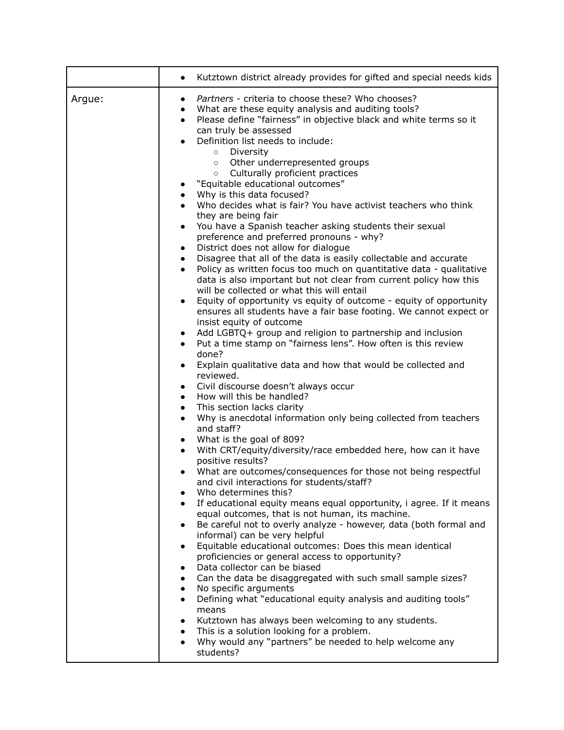|        | Kutztown district already provides for gifted and special needs kids<br>$\bullet$                                                                                                                                                                                                                                                                                                                                                                                                                                                                                                                                                                                                                                                                                                                                                                                                                                                                                                                                                                                                                                                                                                                                                                                                                                                                                                                                                                                                                                                                                                                                                                                                                                                                                                                                                                                                                                                                                                                                                                                                                                                                                                                                                                                                                                                                                                                                                                                                                                                                                                                                                                                                                                                                                                                                 |
|--------|-------------------------------------------------------------------------------------------------------------------------------------------------------------------------------------------------------------------------------------------------------------------------------------------------------------------------------------------------------------------------------------------------------------------------------------------------------------------------------------------------------------------------------------------------------------------------------------------------------------------------------------------------------------------------------------------------------------------------------------------------------------------------------------------------------------------------------------------------------------------------------------------------------------------------------------------------------------------------------------------------------------------------------------------------------------------------------------------------------------------------------------------------------------------------------------------------------------------------------------------------------------------------------------------------------------------------------------------------------------------------------------------------------------------------------------------------------------------------------------------------------------------------------------------------------------------------------------------------------------------------------------------------------------------------------------------------------------------------------------------------------------------------------------------------------------------------------------------------------------------------------------------------------------------------------------------------------------------------------------------------------------------------------------------------------------------------------------------------------------------------------------------------------------------------------------------------------------------------------------------------------------------------------------------------------------------------------------------------------------------------------------------------------------------------------------------------------------------------------------------------------------------------------------------------------------------------------------------------------------------------------------------------------------------------------------------------------------------------------------------------------------------------------------------------------------------|
| Argue: | Partners - criteria to choose these? Who chooses?<br>$\bullet$<br>What are these equity analysis and auditing tools?<br>$\bullet$<br>Please define "fairness" in objective black and white terms so it<br>$\bullet$<br>can truly be assessed<br>Definition list needs to include:<br>Diversity<br>$\circ$<br>Other underrepresented groups<br>$\circ$<br>Culturally proficient practices<br>$\circ$<br>"Equitable educational outcomes"<br>$\bullet$<br>Why is this data focused?<br>$\bullet$<br>Who decides what is fair? You have activist teachers who think<br>they are being fair<br>You have a Spanish teacher asking students their sexual<br>$\bullet$<br>preference and preferred pronouns - why?<br>District does not allow for dialogue<br>$\bullet$<br>Disagree that all of the data is easily collectable and accurate<br>$\bullet$<br>Policy as written focus too much on quantitative data - qualitative<br>$\bullet$<br>data is also important but not clear from current policy how this<br>will be collected or what this will entail<br>Equity of opportunity vs equity of outcome - equity of opportunity<br>$\bullet$<br>ensures all students have a fair base footing. We cannot expect or<br>insist equity of outcome<br>Add LGBTQ+ group and religion to partnership and inclusion<br>$\bullet$<br>Put a time stamp on "fairness lens". How often is this review<br>$\bullet$<br>done?<br>Explain qualitative data and how that would be collected and<br>$\bullet$<br>reviewed.<br>Civil discourse doesn't always occur<br>$\bullet$<br>How will this be handled?<br>$\bullet$<br>This section lacks clarity<br>$\bullet$<br>Why is anecdotal information only being collected from teachers<br>$\bullet$<br>and staff?<br>What is the goal of 809?<br>$\bullet$<br>With CRT/equity/diversity/race embedded here, how can it have<br>$\bullet$<br>positive results?<br>What are outcomes/consequences for those not being respectful<br>$\bullet$<br>and civil interactions for students/staff?<br>Who determines this?<br>٠<br>If educational equity means equal opportunity, i agree. If it means<br>$\bullet$<br>equal outcomes, that is not human, its machine.<br>Be careful not to overly analyze - however, data (both formal and<br>٠<br>informal) can be very helpful<br>Equitable educational outcomes: Does this mean identical<br>$\bullet$<br>proficiencies or general access to opportunity?<br>Data collector can be biased<br>$\bullet$<br>Can the data be disaggregated with such small sample sizes?<br>$\bullet$<br>No specific arguments<br>$\bullet$<br>Defining what "educational equity analysis and auditing tools"<br>$\bullet$<br>means<br>Kutztown has always been welcoming to any students.<br>٠<br>This is a solution looking for a problem.<br>$\bullet$ |
|        | Why would any "partners" be needed to help welcome any<br>students?                                                                                                                                                                                                                                                                                                                                                                                                                                                                                                                                                                                                                                                                                                                                                                                                                                                                                                                                                                                                                                                                                                                                                                                                                                                                                                                                                                                                                                                                                                                                                                                                                                                                                                                                                                                                                                                                                                                                                                                                                                                                                                                                                                                                                                                                                                                                                                                                                                                                                                                                                                                                                                                                                                                                               |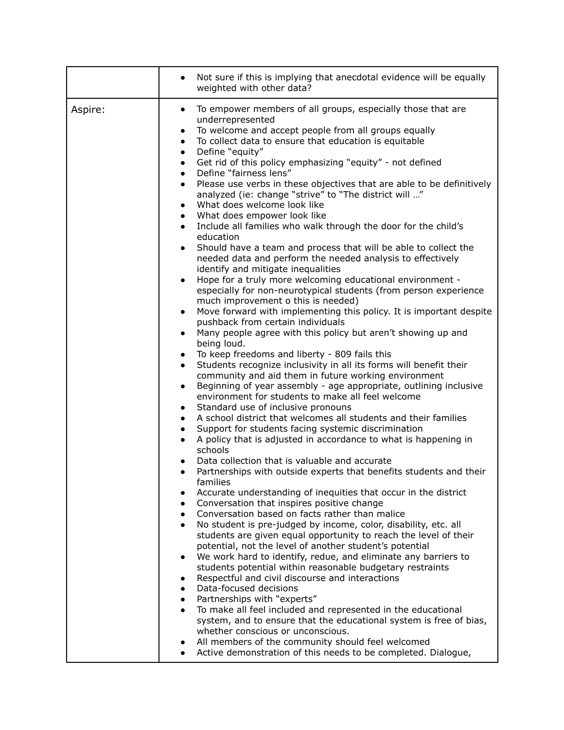|         | Not sure if this is implying that anecdotal evidence will be equally<br>weighted with other data?                                                                                                                                                                                                                                                                                                                                                                                                                                                                                                                                                                                                                                                                                                                                                                                                                                                                                                                                                                                                                                                                                                                                                                                                                                                                                                                                                                                                                                                                                                                                                                                                                                                                                                                                                                                                                                                                                                                                                                                                                                                                                                                                                                                                                                                                                                                                                                                                                                                                                                                                                                                                                                                                                                                                                                                                                                                                                                                                                                               |
|---------|---------------------------------------------------------------------------------------------------------------------------------------------------------------------------------------------------------------------------------------------------------------------------------------------------------------------------------------------------------------------------------------------------------------------------------------------------------------------------------------------------------------------------------------------------------------------------------------------------------------------------------------------------------------------------------------------------------------------------------------------------------------------------------------------------------------------------------------------------------------------------------------------------------------------------------------------------------------------------------------------------------------------------------------------------------------------------------------------------------------------------------------------------------------------------------------------------------------------------------------------------------------------------------------------------------------------------------------------------------------------------------------------------------------------------------------------------------------------------------------------------------------------------------------------------------------------------------------------------------------------------------------------------------------------------------------------------------------------------------------------------------------------------------------------------------------------------------------------------------------------------------------------------------------------------------------------------------------------------------------------------------------------------------------------------------------------------------------------------------------------------------------------------------------------------------------------------------------------------------------------------------------------------------------------------------------------------------------------------------------------------------------------------------------------------------------------------------------------------------------------------------------------------------------------------------------------------------------------------------------------------------------------------------------------------------------------------------------------------------------------------------------------------------------------------------------------------------------------------------------------------------------------------------------------------------------------------------------------------------------------------------------------------------------------------------------------------------|
| Aspire: | To empower members of all groups, especially those that are<br>$\bullet$<br>underrepresented<br>To welcome and accept people from all groups equally<br>$\bullet$<br>To collect data to ensure that education is equitable<br>$\bullet$<br>Define "equity"<br>$\bullet$<br>Get rid of this policy emphasizing "equity" - not defined<br>$\bullet$<br>Define "fairness lens"<br>$\bullet$<br>Please use verbs in these objectives that are able to be definitively<br>$\bullet$<br>analyzed (ie: change "strive" to "The district will "<br>What does welcome look like<br>$\bullet$<br>What does empower look like<br>$\bullet$<br>Include all families who walk through the door for the child's<br>education<br>Should have a team and process that will be able to collect the<br>$\bullet$<br>needed data and perform the needed analysis to effectively<br>identify and mitigate inequalities<br>Hope for a truly more welcoming educational environment -<br>$\bullet$<br>especially for non-neurotypical students (from person experience<br>much improvement o this is needed)<br>Move forward with implementing this policy. It is important despite<br>$\bullet$<br>pushback from certain individuals<br>Many people agree with this policy but aren't showing up and<br>$\bullet$<br>being loud.<br>To keep freedoms and liberty - 809 fails this<br>$\bullet$<br>Students recognize inclusivity in all its forms will benefit their<br>$\bullet$<br>community and aid them in future working environment<br>Beginning of year assembly - age appropriate, outlining inclusive<br>$\bullet$<br>environment for students to make all feel welcome<br>Standard use of inclusive pronouns<br>$\bullet$<br>A school district that welcomes all students and their families<br>$\bullet$<br>Support for students facing systemic discrimination<br>$\bullet$<br>A policy that is adjusted in accordance to what is happening in<br>$\bullet$<br>schools<br>Data collection that is valuable and accurate<br>Partnerships with outside experts that benefits students and their<br>$\bullet$<br>families<br>Accurate understanding of inequities that occur in the district<br>Conversation that inspires positive change<br>٠<br>Conversation based on facts rather than malice<br>$\bullet$<br>No student is pre-judged by income, color, disability, etc. all<br>students are given equal opportunity to reach the level of their<br>potential, not the level of another student's potential<br>We work hard to identify, redue, and eliminate any barriers to<br>$\bullet$<br>students potential within reasonable budgetary restraints<br>Respectful and civil discourse and interactions<br>٠<br>Data-focused decisions<br>$\bullet$<br>Partnerships with "experts"<br>To make all feel included and represented in the educational<br>system, and to ensure that the educational system is free of bias,<br>whether conscious or unconscious.<br>All members of the community should feel welcomed<br>Active demonstration of this needs to be completed. Dialogue, |
|         |                                                                                                                                                                                                                                                                                                                                                                                                                                                                                                                                                                                                                                                                                                                                                                                                                                                                                                                                                                                                                                                                                                                                                                                                                                                                                                                                                                                                                                                                                                                                                                                                                                                                                                                                                                                                                                                                                                                                                                                                                                                                                                                                                                                                                                                                                                                                                                                                                                                                                                                                                                                                                                                                                                                                                                                                                                                                                                                                                                                                                                                                                 |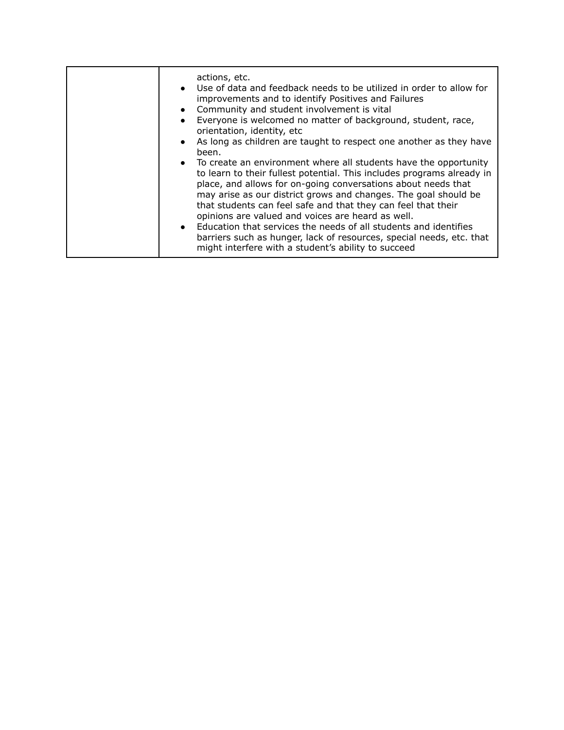|  | actions, etc.<br>Use of data and feedback needs to be utilized in order to allow for<br>$\bullet$<br>improvements and to identify Positives and Failures<br>Community and student involvement is vital<br>$\bullet$<br>Everyone is welcomed no matter of background, student, race,<br>orientation, identity, etc<br>As long as children are taught to respect one another as they have<br>been.<br>• To create an environment where all students have the opportunity<br>to learn to their fullest potential. This includes programs already in<br>place, and allows for on-going conversations about needs that<br>may arise as our district grows and changes. The goal should be<br>that students can feel safe and that they can feel that their<br>opinions are valued and voices are heard as well.<br>Education that services the needs of all students and identifies<br>$\bullet$<br>barriers such as hunger, lack of resources, special needs, etc. that<br>might interfere with a student's ability to succeed |
|--|----------------------------------------------------------------------------------------------------------------------------------------------------------------------------------------------------------------------------------------------------------------------------------------------------------------------------------------------------------------------------------------------------------------------------------------------------------------------------------------------------------------------------------------------------------------------------------------------------------------------------------------------------------------------------------------------------------------------------------------------------------------------------------------------------------------------------------------------------------------------------------------------------------------------------------------------------------------------------------------------------------------------------|
|--|----------------------------------------------------------------------------------------------------------------------------------------------------------------------------------------------------------------------------------------------------------------------------------------------------------------------------------------------------------------------------------------------------------------------------------------------------------------------------------------------------------------------------------------------------------------------------------------------------------------------------------------------------------------------------------------------------------------------------------------------------------------------------------------------------------------------------------------------------------------------------------------------------------------------------------------------------------------------------------------------------------------------------|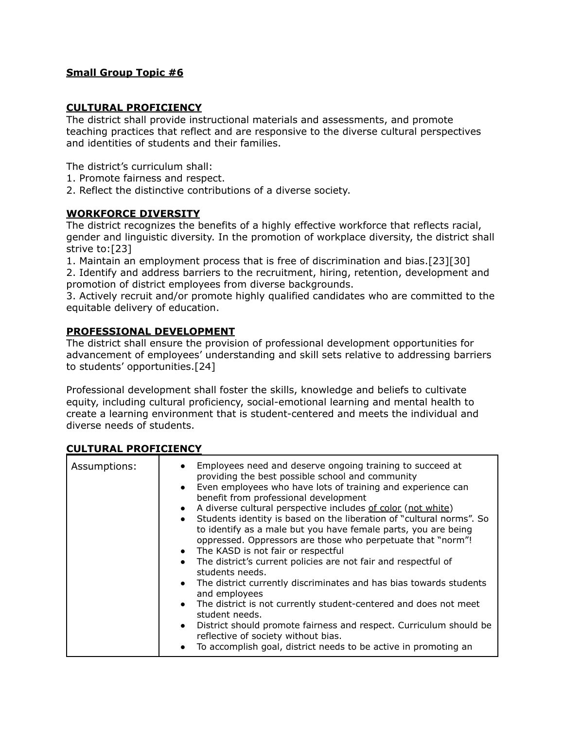#### **CULTURAL PROFICIENCY**

The district shall provide instructional materials and assessments, and promote teaching practices that reflect and are responsive to the diverse cultural perspectives and identities of students and their families.

The district's curriculum shall:

- 1. Promote fairness and respect.
- 2. Reflect the distinctive contributions of a diverse society.

### **WORKFORCE DIVERSITY**

The district recognizes the benefits of a highly effective workforce that reflects racial, gender and linguistic diversity. In the promotion of workplace diversity, the district shall strive to:[23]

1. Maintain an employment process that is free of discrimination and bias.[23][30] 2. Identify and address barriers to the recruitment, hiring, retention, development and promotion of district employees from diverse backgrounds.

3. Actively recruit and/or promote highly qualified candidates who are committed to the equitable delivery of education.

### **PROFESSIONAL DEVELOPMENT**

The district shall ensure the provision of professional development opportunities for advancement of employees' understanding and skill sets relative to addressing barriers to students' opportunities.[24]

Professional development shall foster the skills, knowledge and beliefs to cultivate equity, including cultural proficiency, social-emotional learning and mental health to create a learning environment that is student-centered and meets the individual and diverse needs of students.

| Assumptions: | Employees need and deserve ongoing training to succeed at<br>providing the best possible school and community<br>Even employees who have lots of training and experience can<br>benefit from professional development<br>A diverse cultural perspective includes of color (not white)<br>$\bullet$<br>Students identity is based on the liberation of "cultural norms". So<br>to identify as a male but you have female parts, you are being<br>oppressed. Oppressors are those who perpetuate that "norm"!<br>• The KASD is not fair or respectful<br>The district's current policies are not fair and respectful of<br>students needs.<br>• The district currently discriminates and has bias towards students<br>and employees<br>• The district is not currently student-centered and does not meet<br>student needs.<br>District should promote fairness and respect. Curriculum should be<br>reflective of society without bias.<br>To accomplish goal, district needs to be active in promoting an |
|--------------|-----------------------------------------------------------------------------------------------------------------------------------------------------------------------------------------------------------------------------------------------------------------------------------------------------------------------------------------------------------------------------------------------------------------------------------------------------------------------------------------------------------------------------------------------------------------------------------------------------------------------------------------------------------------------------------------------------------------------------------------------------------------------------------------------------------------------------------------------------------------------------------------------------------------------------------------------------------------------------------------------------------|
|              |                                                                                                                                                                                                                                                                                                                                                                                                                                                                                                                                                                                                                                                                                                                                                                                                                                                                                                                                                                                                           |

### **CULTURAL PROFICIENCY**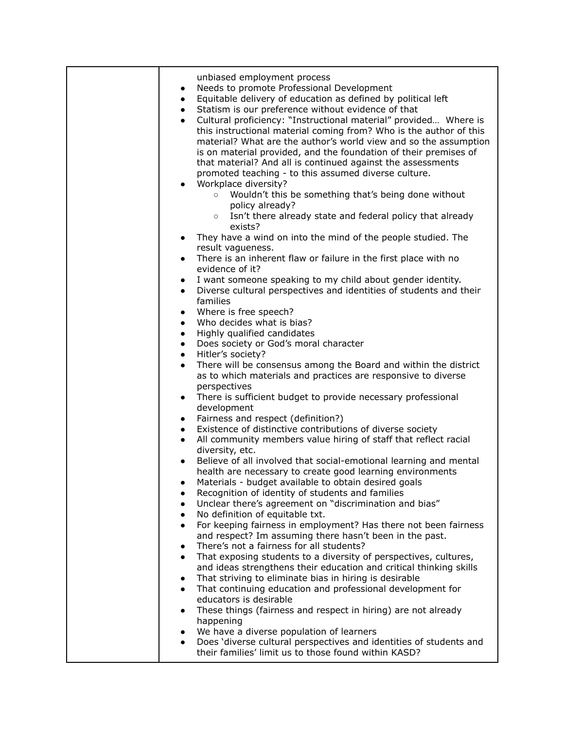| unbiased employment process<br>Needs to promote Professional Development<br>$\bullet$<br>Equitable delivery of education as defined by political left<br>$\bullet$<br>Statism is our preference without evidence of that<br>$\bullet$<br>Cultural proficiency: "Instructional material" provided Where is<br>$\bullet$<br>this instructional material coming from? Who is the author of this<br>material? What are the author's world view and so the assumption<br>is on material provided, and the foundation of their premises of<br>that material? And all is continued against the assessments<br>promoted teaching - to this assumed diverse culture.<br>Workplace diversity?<br>$\bullet$<br>Wouldn't this be something that's being done without<br>$\circ$<br>policy already?<br>Isn't there already state and federal policy that already<br>$\circ$<br>exists? |
|---------------------------------------------------------------------------------------------------------------------------------------------------------------------------------------------------------------------------------------------------------------------------------------------------------------------------------------------------------------------------------------------------------------------------------------------------------------------------------------------------------------------------------------------------------------------------------------------------------------------------------------------------------------------------------------------------------------------------------------------------------------------------------------------------------------------------------------------------------------------------|
| They have a wind on into the mind of the people studied. The<br>$\bullet$                                                                                                                                                                                                                                                                                                                                                                                                                                                                                                                                                                                                                                                                                                                                                                                                 |
| result vagueness.                                                                                                                                                                                                                                                                                                                                                                                                                                                                                                                                                                                                                                                                                                                                                                                                                                                         |
| There is an inherent flaw or failure in the first place with no<br>$\bullet$<br>evidence of it?                                                                                                                                                                                                                                                                                                                                                                                                                                                                                                                                                                                                                                                                                                                                                                           |
| I want someone speaking to my child about gender identity.<br>$\bullet$                                                                                                                                                                                                                                                                                                                                                                                                                                                                                                                                                                                                                                                                                                                                                                                                   |
| Diverse cultural perspectives and identities of students and their<br>$\bullet$                                                                                                                                                                                                                                                                                                                                                                                                                                                                                                                                                                                                                                                                                                                                                                                           |
| families                                                                                                                                                                                                                                                                                                                                                                                                                                                                                                                                                                                                                                                                                                                                                                                                                                                                  |
| Where is free speech?<br>$\bullet$                                                                                                                                                                                                                                                                                                                                                                                                                                                                                                                                                                                                                                                                                                                                                                                                                                        |
| Who decides what is bias?<br>$\bullet$                                                                                                                                                                                                                                                                                                                                                                                                                                                                                                                                                                                                                                                                                                                                                                                                                                    |
| Highly qualified candidates<br>$\bullet$                                                                                                                                                                                                                                                                                                                                                                                                                                                                                                                                                                                                                                                                                                                                                                                                                                  |
| Does society or God's moral character<br>$\bullet$<br>Hitler's society?<br>$\bullet$                                                                                                                                                                                                                                                                                                                                                                                                                                                                                                                                                                                                                                                                                                                                                                                      |
| There will be consensus among the Board and within the district<br>$\bullet$                                                                                                                                                                                                                                                                                                                                                                                                                                                                                                                                                                                                                                                                                                                                                                                              |
| as to which materials and practices are responsive to diverse<br>perspectives                                                                                                                                                                                                                                                                                                                                                                                                                                                                                                                                                                                                                                                                                                                                                                                             |
| There is sufficient budget to provide necessary professional<br>$\bullet$                                                                                                                                                                                                                                                                                                                                                                                                                                                                                                                                                                                                                                                                                                                                                                                                 |
| development                                                                                                                                                                                                                                                                                                                                                                                                                                                                                                                                                                                                                                                                                                                                                                                                                                                               |
| Fairness and respect (definition?)<br>$\bullet$                                                                                                                                                                                                                                                                                                                                                                                                                                                                                                                                                                                                                                                                                                                                                                                                                           |
| Existence of distinctive contributions of diverse society<br>$\bullet$                                                                                                                                                                                                                                                                                                                                                                                                                                                                                                                                                                                                                                                                                                                                                                                                    |
| All community members value hiring of staff that reflect racial<br>$\bullet$                                                                                                                                                                                                                                                                                                                                                                                                                                                                                                                                                                                                                                                                                                                                                                                              |
| diversity, etc.                                                                                                                                                                                                                                                                                                                                                                                                                                                                                                                                                                                                                                                                                                                                                                                                                                                           |
| Believe of all involved that social-emotional learning and mental                                                                                                                                                                                                                                                                                                                                                                                                                                                                                                                                                                                                                                                                                                                                                                                                         |
| health are necessary to create good learning environments<br>Materials - budget available to obtain desired goals                                                                                                                                                                                                                                                                                                                                                                                                                                                                                                                                                                                                                                                                                                                                                         |
| Recognition of identity of students and families                                                                                                                                                                                                                                                                                                                                                                                                                                                                                                                                                                                                                                                                                                                                                                                                                          |
| Unclear there's agreement on "discrimination and bias"<br>$\bullet$                                                                                                                                                                                                                                                                                                                                                                                                                                                                                                                                                                                                                                                                                                                                                                                                       |
| No definition of equitable txt.<br>$\bullet$                                                                                                                                                                                                                                                                                                                                                                                                                                                                                                                                                                                                                                                                                                                                                                                                                              |
| For keeping fairness in employment? Has there not been fairness<br>$\bullet$                                                                                                                                                                                                                                                                                                                                                                                                                                                                                                                                                                                                                                                                                                                                                                                              |
| and respect? Im assuming there hasn't been in the past.                                                                                                                                                                                                                                                                                                                                                                                                                                                                                                                                                                                                                                                                                                                                                                                                                   |
| There's not a fairness for all students?<br>$\bullet$                                                                                                                                                                                                                                                                                                                                                                                                                                                                                                                                                                                                                                                                                                                                                                                                                     |
| That exposing students to a diversity of perspectives, cultures,<br>$\bullet$                                                                                                                                                                                                                                                                                                                                                                                                                                                                                                                                                                                                                                                                                                                                                                                             |
| and ideas strengthens their education and critical thinking skills                                                                                                                                                                                                                                                                                                                                                                                                                                                                                                                                                                                                                                                                                                                                                                                                        |
| That striving to eliminate bias in hiring is desirable<br>$\bullet$                                                                                                                                                                                                                                                                                                                                                                                                                                                                                                                                                                                                                                                                                                                                                                                                       |
| That continuing education and professional development for<br>$\bullet$<br>educators is desirable                                                                                                                                                                                                                                                                                                                                                                                                                                                                                                                                                                                                                                                                                                                                                                         |
| These things (fairness and respect in hiring) are not already<br>$\bullet$                                                                                                                                                                                                                                                                                                                                                                                                                                                                                                                                                                                                                                                                                                                                                                                                |
| happening                                                                                                                                                                                                                                                                                                                                                                                                                                                                                                                                                                                                                                                                                                                                                                                                                                                                 |
| We have a diverse population of learners                                                                                                                                                                                                                                                                                                                                                                                                                                                                                                                                                                                                                                                                                                                                                                                                                                  |
| Does 'diverse cultural perspectives and identities of students and<br>their families' limit us to those found within KASD?                                                                                                                                                                                                                                                                                                                                                                                                                                                                                                                                                                                                                                                                                                                                                |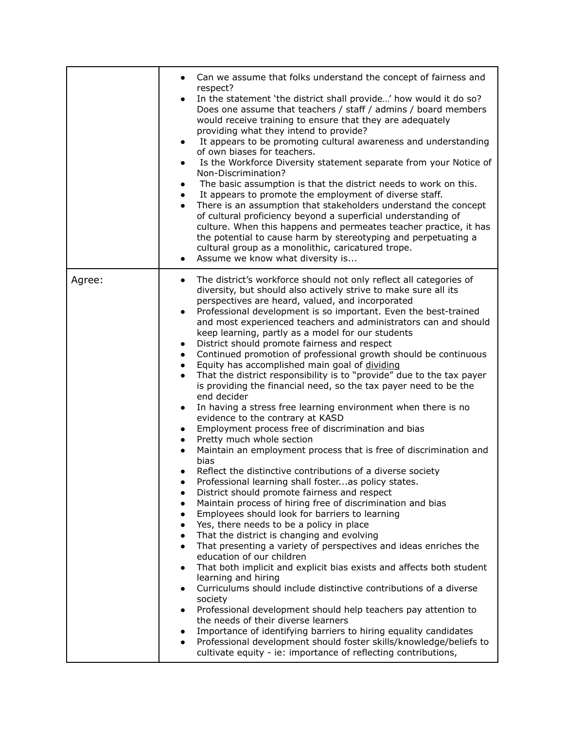|        | Can we assume that folks understand the concept of fairness and<br>respect?<br>In the statement 'the district shall provide' how would it do so?<br>Does one assume that teachers / staff / admins / board members<br>would receive training to ensure that they are adequately<br>providing what they intend to provide?<br>It appears to be promoting cultural awareness and understanding<br>$\bullet$<br>of own biases for teachers.<br>Is the Workforce Diversity statement separate from your Notice of<br>$\bullet$<br>Non-Discrimination?<br>The basic assumption is that the district needs to work on this.<br>$\bullet$<br>It appears to promote the employment of diverse staff.<br>$\bullet$<br>There is an assumption that stakeholders understand the concept<br>of cultural proficiency beyond a superficial understanding of<br>culture. When this happens and permeates teacher practice, it has<br>the potential to cause harm by stereotyping and perpetuating a<br>cultural group as a monolithic, caricatured trope.<br>Assume we know what diversity is<br>$\bullet$                                                                                                                                                                                                                                                                                                                                                                                                                                                                                                                                                                                                                                                                                                                                                                                                                                                                                                                                                                                                                                                                                                                             |
|--------|-------------------------------------------------------------------------------------------------------------------------------------------------------------------------------------------------------------------------------------------------------------------------------------------------------------------------------------------------------------------------------------------------------------------------------------------------------------------------------------------------------------------------------------------------------------------------------------------------------------------------------------------------------------------------------------------------------------------------------------------------------------------------------------------------------------------------------------------------------------------------------------------------------------------------------------------------------------------------------------------------------------------------------------------------------------------------------------------------------------------------------------------------------------------------------------------------------------------------------------------------------------------------------------------------------------------------------------------------------------------------------------------------------------------------------------------------------------------------------------------------------------------------------------------------------------------------------------------------------------------------------------------------------------------------------------------------------------------------------------------------------------------------------------------------------------------------------------------------------------------------------------------------------------------------------------------------------------------------------------------------------------------------------------------------------------------------------------------------------------------------------------------------------------------------------------------------------------------------|
| Agree: | The district's workforce should not only reflect all categories of<br>$\bullet$<br>diversity, but should also actively strive to make sure all its<br>perspectives are heard, valued, and incorporated<br>Professional development is so important. Even the best-trained<br>$\bullet$<br>and most experienced teachers and administrators can and should<br>keep learning, partly as a model for our students<br>District should promote fairness and respect<br>$\bullet$<br>Continued promotion of professional growth should be continuous<br>$\bullet$<br>Equity has accomplished main goal of dividing<br>$\bullet$<br>That the district responsibility is to "provide" due to the tax payer<br>$\bullet$<br>is providing the financial need, so the tax payer need to be the<br>end decider<br>In having a stress free learning environment when there is no<br>$\bullet$<br>evidence to the contrary at KASD<br>Employment process free of discrimination and bias<br>$\bullet$<br>Pretty much whole section<br>$\bullet$<br>Maintain an employment process that is free of discrimination and<br>bias<br>Reflect the distinctive contributions of a diverse society<br>Professional learning shall fosteras policy states.<br>District should promote fairness and respect<br>$\bullet$<br>Maintain process of hiring free of discrimination and bias<br>$\bullet$<br>Employees should look for barriers to learning<br>$\bullet$<br>Yes, there needs to be a policy in place<br>$\bullet$<br>That the district is changing and evolving<br>$\bullet$<br>That presenting a variety of perspectives and ideas enriches the<br>$\bullet$<br>education of our children<br>That both implicit and explicit bias exists and affects both student<br>$\bullet$<br>learning and hiring<br>Curriculums should include distinctive contributions of a diverse<br>$\bullet$<br>society<br>Professional development should help teachers pay attention to<br>$\bullet$<br>the needs of their diverse learners<br>Importance of identifying barriers to hiring equality candidates<br>Professional development should foster skills/knowledge/beliefs to<br>cultivate equity - ie: importance of reflecting contributions, |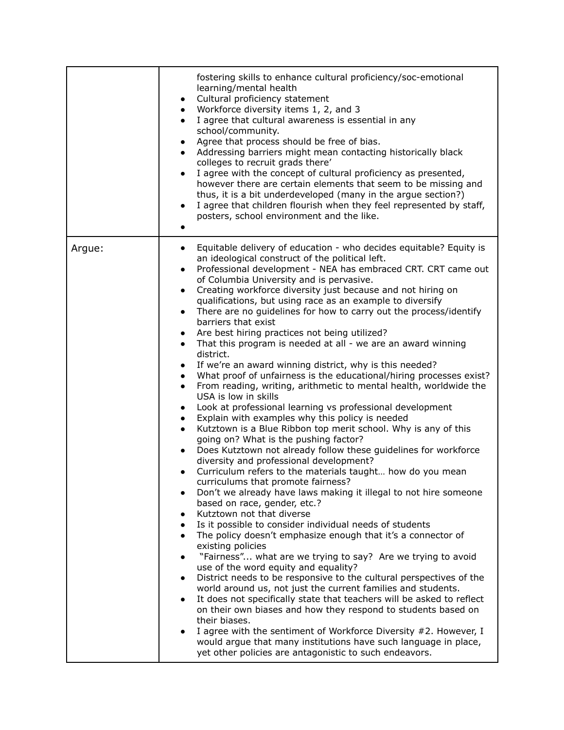|        | fostering skills to enhance cultural proficiency/soc-emotional<br>learning/mental health<br>Cultural proficiency statement<br>$\bullet$<br>Workforce diversity items 1, 2, and 3<br>$\bullet$<br>I agree that cultural awareness is essential in any<br>$\bullet$<br>school/community.<br>Agree that process should be free of bias.<br>$\bullet$<br>Addressing barriers might mean contacting historically black<br>$\bullet$<br>colleges to recruit grads there'<br>I agree with the concept of cultural proficiency as presented,<br>$\bullet$<br>however there are certain elements that seem to be missing and<br>thus, it is a bit underdeveloped (many in the argue section?)<br>I agree that children flourish when they feel represented by staff,<br>$\bullet$<br>posters, school environment and the like.<br>٠                                                                                                                                                                                                                                                                                                                                                                                                                                                                                                                                                                                                                                                                                                                                                                                                                                                                                                                                                                                                                                                                                                                                                                                                                                                                                                                                                                                                                                                                                                                                                                                                          |
|--------|-------------------------------------------------------------------------------------------------------------------------------------------------------------------------------------------------------------------------------------------------------------------------------------------------------------------------------------------------------------------------------------------------------------------------------------------------------------------------------------------------------------------------------------------------------------------------------------------------------------------------------------------------------------------------------------------------------------------------------------------------------------------------------------------------------------------------------------------------------------------------------------------------------------------------------------------------------------------------------------------------------------------------------------------------------------------------------------------------------------------------------------------------------------------------------------------------------------------------------------------------------------------------------------------------------------------------------------------------------------------------------------------------------------------------------------------------------------------------------------------------------------------------------------------------------------------------------------------------------------------------------------------------------------------------------------------------------------------------------------------------------------------------------------------------------------------------------------------------------------------------------------------------------------------------------------------------------------------------------------------------------------------------------------------------------------------------------------------------------------------------------------------------------------------------------------------------------------------------------------------------------------------------------------------------------------------------------------------------------------------------------------------------------------------------------------|
| Argue: | Equitable delivery of education - who decides equitable? Equity is<br>$\bullet$<br>an ideological construct of the political left.<br>Professional development - NEA has embraced CRT. CRT came out<br>$\bullet$<br>of Columbia University and is pervasive.<br>Creating workforce diversity just because and not hiring on<br>$\bullet$<br>qualifications, but using race as an example to diversify<br>There are no guidelines for how to carry out the process/identify<br>$\bullet$<br>barriers that exist<br>Are best hiring practices not being utilized?<br>$\bullet$<br>That this program is needed at all - we are an award winning<br>$\bullet$<br>district.<br>If we're an award winning district, why is this needed?<br>$\bullet$<br>What proof of unfairness is the educational/hiring processes exist?<br>$\bullet$<br>From reading, writing, arithmetic to mental health, worldwide the<br>$\bullet$<br>USA is low in skills<br>Look at professional learning vs professional development<br>$\bullet$<br>Explain with examples why this policy is needed<br>$\bullet$<br>Kutztown is a Blue Ribbon top merit school. Why is any of this<br>$\bullet$<br>going on? What is the pushing factor?<br>Does Kutztown not already follow these guidelines for workforce<br>$\bullet$<br>diversity and professional development?<br>Curriculum refers to the materials taught how do you mean<br>$\bullet$<br>curriculums that promote fairness?<br>Don't we already have laws making it illegal to not hire someone<br>based on race, gender, etc.?<br>Kutztown not that diverse<br>$\bullet$<br>Is it possible to consider individual needs of students<br>$\bullet$<br>The policy doesn't emphasize enough that it's a connector of<br>$\bullet$<br>existing policies<br>"Fairness" what are we trying to say? Are we trying to avoid<br>$\bullet$<br>use of the word equity and equality?<br>District needs to be responsive to the cultural perspectives of the<br>$\bullet$<br>world around us, not just the current families and students.<br>It does not specifically state that teachers will be asked to reflect<br>$\bullet$<br>on their own biases and how they respond to students based on<br>their biases.<br>I agree with the sentiment of Workforce Diversity #2. However, I<br>would argue that many institutions have such language in place,<br>yet other policies are antagonistic to such endeavors. |